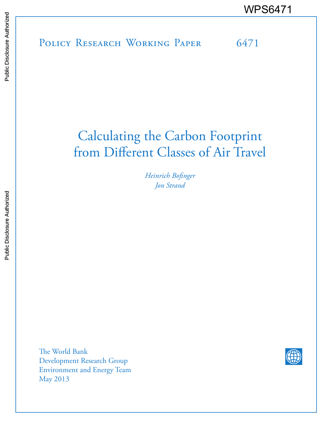POLICY RESEARCH WORKING PAPER 6471 WPS6471<br>
Media<br>
Media<br>
Band<br>
Band<br>
Band<br>
Band<br>
Band<br>
Band<br>
Band<br>
Band<br>
Band<br>
Band<br>
Band<br>
Band<br>
Band<br>
Band<br>
Band<br>
Band<br>
Band<br>
Band<br>
Band<br>
Band<br>
Band<br>
Band<br>
Band<br>
Band<br>
Band<br>
Band<br>
Band<br>
Band<br>
Band<br>
Band<br>
Band<br>
Band<br>
Band<br>
B

# Calculating the Carbon Footprint from Different Classes of Air Travel

*Heinrich Bofinger Jon Strand* 

The World Bank Development Research Group Environment and Energy Team May 2013

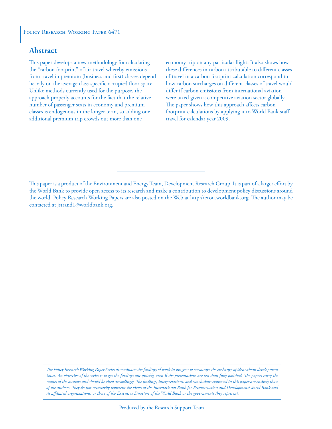#### POLICY RESEARCH WORKING PAPER 6471

#### **Abstract**

This paper develops a new methodology for calculating the "carbon footprint" of air travel whereby emissions from travel in premium (business and first) classes depend heavily on the average class-specific occupied floor space. Unlike methods currently used for the purpose, the approach properly accounts for the fact that the relative number of passenger seats in economy and premium classes is endogenous in the longer term, so adding one additional premium trip crowds out more than one

economy trip on any particular flight. It also shows how these differences in carbon attributable to different classes of travel in a carbon footprint calculation correspond to how carbon surcharges on different classes of travel would differ if carbon emissions from international aviation were taxed given a competitive aviation sector globally. The paper shows how this approach affects carbon footprint calculations by applying it to World Bank staff travel for calendar year 2009.

This paper is a product of the Environment and Energy Team, Development Research Group. It is part of a larger effort by the World Bank to provide open access to its research and make a contribution to development policy discussions around the world. Policy Research Working Papers are also posted on the Web at http://econ.worldbank.org. The author may be contacted at jstrand1@worldbank.org.

*The Policy Research Working Paper Series disseminates the findings of work in progress to encourage the exchange of ideas about development*  issues. An objective of the series is to get the findings out quickly, even if the presentations are less than fully polished. The papers carry the *names of the authors and should be cited accordingly. The findings, interpretations, and conclusions expressed in this paper are entirely those of the authors. They do not necessarily represent the views of the International Bank for Reconstruction and Development/World Bank and its affiliated organizations, or those of the Executive Directors of the World Bank or the governments they represent.*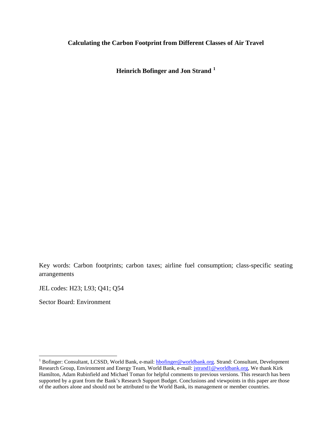#### **Calculating the Carbon Footprint from Different Classes of Air Travel**

**Heinrich Bofinger and Jon Strand <sup>1</sup>**

Key words: Carbon footprints; carbon taxes; airline fuel consumption; class-specific seating arrangements

JEL codes: H23; L93; Q41; Q54

Sector Board: Environment

<sup>&</sup>lt;sup>1</sup> Bofinger: Consultant, LCSSD, World Bank, e-mail: **hbofinger@worldbank.org**. Strand: Consultant, Development Research Group, Environment and Energy Team, World Bank, e-mail: jstrand1@worldbank.org, We thank Kirk Hamilton, Adam Rubinfield and Michael Toman for helpful comments to previous versions. This research has been supported by a grant from the Bank's Research Support Budget. Conclusions and viewpoints in this paper are those of the authors alone and should not be attributed to the World Bank, its management or member countries.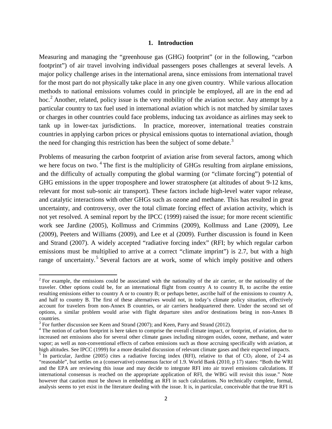#### **1. Introduction**

Measuring and managing the "greenhouse gas (GHG) footprint" (or in the following, "carbon footprint") of air travel involving individual passengers poses challenges at several levels. A major policy challenge arises in the international arena, since emissions from international travel for the most part do not physically take place in any one given country. While various allocation methods to national emissions volumes could in principle be employed, all are in the end ad hoc.<sup>[2](#page-3-0)</sup> Another, related, policy issue is the very mobility of the aviation sector. Any attempt by a particular country to tax fuel used in international aviation which is not matched by similar taxes or charges in other countries could face problems, inducing tax avoidance as airlines may seek to tank up in lower-tax jurisdictions. In practice, moreover, international treaties constrain countries in applying carbon prices or physical emissions quotas to international aviation, though the need for changing this restriction has been the subject of some debate.<sup>[3](#page-3-1)</sup>

Problems of measuring the carbon footprint of aviation arise from several factors, among which we here focus on two. <sup>[4](#page-3-2)</sup> The first is the multiplicity of GHGs resulting from airplane emissions, and the difficulty of actually computing the global warming (or "climate forcing") potential of GHG emissions in the upper troposphere and lower stratosphere (at altitudes of about 9-12 kms, relevant for most sub-sonic air transport). These factors include high-level water vapor release, and catalytic interactions with other GHGs such as ozone and methane. This has resulted in great uncertainty, and controversy, over the total climate forcing effect of aviation activity, which is not yet resolved. A seminal report by the IPCC (1999) raised the issue; for more recent scientific work see Jardine (2005), Kollmuss and Crimmins (2009), Kollmuss and Lane (2009), Lee (2009), Peeters and Williams (2009), and Lee et al (2009). Further discussion is found in Keen and Strand (2007). A widely accepted "radiative forcing index" (RFI; by which regular carbon emissions must be multiplied to arrive at a correct "climate imprint") is 2.7, but with a high range of uncertainty.<sup>[5](#page-3-3)</sup> Several factors are at work, some of which imply positive and others

<span id="page-3-0"></span><sup>&</sup>lt;sup>2</sup> For example, the emissions could be associated with the nationality of the air carrier, or the nationality of the traveler. Other options could be, for an international flight from country A to country B, to ascribe the entire resulting emissions either to country A or to country B; or perhaps better, ascribe half of the emissions to country A, and half to country B. The first of these alternatives would not, in today's climate policy situation, effectively account for travelers from non-Annex B countries, or air carriers headquartered there. Under the second set of options, a similar problem would arise with flight departure sites and/or destinations being in non-Annex B countries.<br><sup>3</sup> For further discussion see Keen and Strand (2007); and Keen, Parry and Strand (2012).

<span id="page-3-1"></span>

<span id="page-3-2"></span> $<sup>4</sup>$  The notion of carbon footprint is here taken to comprise the overall climate impact, or footprint, of aviation, due to</sup> increased net emissions also for several other climate gases including nitrogen oxides, ozone, methane, and water vapor; as well as non-conventional effects of carbon emissions such as those accruing specifically with aviation, at high altitudes. See IPCC (1999) for a more detailed discussion of relevant climate gases and their expected impacts.

<span id="page-3-3"></span><sup>&</sup>lt;sup>5</sup> In particular, Jardine (2005) cites a radiative forcing index (RFI), relative to that of  $CO_2$  alone, of 2-4 as "reasonable", but settles on a (conservative) consensus factor of 1.9. World Bank (2010, p 17) states: "Both the WRI and the EPA are reviewing this issue and may decide to integrate RFI into air travel emissions calculations. If international consensus is reached on the appropriate application of RFI, the WBG will revisit this issue." Note however that caution must be shown in embedding an RFI in such calculations. No technically complete, formal, analysis seems to yet exist in the literature dealing with the issue. It is, in particular, conceivable that the true RFI is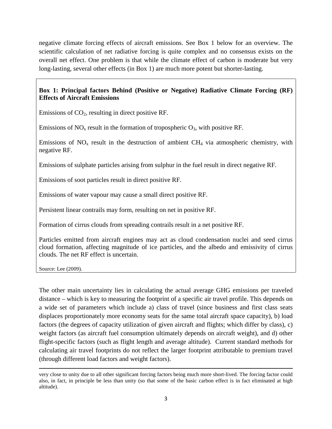negative climate forcing effects of aircraft emissions. See Box 1 below for an overview. The scientific calculation of net radiative forcing is quite complex and no consensus exists on the overall net effect. One problem is that while the climate effect of carbon is moderate but very long-lasting, several other effects (in Box 1) are much more potent but shorter-lasting.

## **Box 1: Principal factors Behind (Positive or Negative) Radiative Climate Forcing (RF) Effects of Aircraft Emissions**

Emissions of  $CO<sub>2</sub>$ , resulting in direct positive RF.

Emissions of  $NO<sub>x</sub>$  result in the formation of tropospheric  $O<sub>3</sub>$ , with positive RF.

Emissions of  $NO<sub>x</sub>$  result in the destruction of ambient CH<sub>4</sub> via atmospheric chemistry, with negative RF.

Emissions of sulphate particles arising from sulphur in the fuel result in direct negative RF.

Emissions of soot particles result in direct positive RF.

Emissions of water vapour may cause a small direct positive RF.

Persistent linear contrails may form, resulting on net in positive RF.

Formation of cirrus clouds from spreading contrails result in a net positive RF.

Particles emitted from aircraft engines may act as cloud condensation nuclei and seed cirrus cloud formation, affecting magnitude of ice particles, and the albedo and emissivity of cirrus clouds. The net RF effect is uncertain.

Source: Lee (2009).

 $\overline{\phantom{a}}$ 

The other main uncertainty lies in calculating the actual average GHG emissions per traveled distance – which is key to measuring the footprint of a specific air travel profile. This depends on a wide set of parameters which include a) class of travel (since business and first class seats displaces proportionately more economy seats for the same total aircraft space capacity), b) load factors (the degrees of capacity utilization of given aircraft and flights; which differ by class), c) weight factors (as aircraft fuel consumption ultimately depends on aircraft weight), and d) other flight-specific factors (such as flight length and average altitude). Current standard methods for calculating air travel footprints do not reflect the larger footprint attributable to premium travel (through different load factors and weight factors).

very close to unity due to all other significant forcing factors being much more short-lived. The forcing factor could also, in fact, in principle be less than unity (so that some of the basic carbon effect is in fact eliminated at high altitude).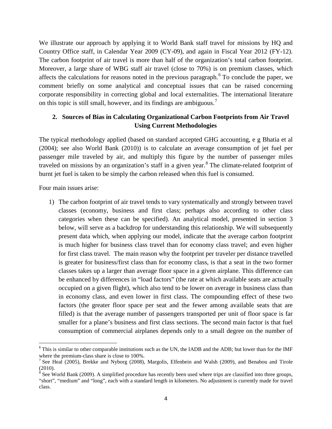We illustrate our approach by applying it to World Bank staff travel for missions by HQ and Country Office staff, in Calendar Year 2009 (CY-09), and again in Fiscal Year 2012 (FY-12). The carbon footprint of air travel is more than half of the organization's total carbon footprint. Moreover, a large share of WBG staff air travel (close to 70%) is on premium classes, which affects the calculations for reasons noted in the previous paragraph.<sup>[6](#page-5-0)</sup> To conclude the paper, we comment briefly on some analytical and conceptual issues that can be raised concerning corporate responsibility in correcting global and local externalities. The international literature on this topic is still small, however, and its findings are ambiguous.<sup>[7](#page-5-1)</sup>

# **2. Sources of Bias in Calculating Organizational Carbon Footprints from Air Travel Using Current Methodologies**

The typical methodology applied (based on standard accepted GHG accounting, e g Bhatia et al (2004); see also World Bank (2010)) is to calculate an average consumption of jet fuel per passenger mile traveled by air, and multiply this figure by the number of passenger miles traveled on missions by an organization's staff in a given year.<sup>[8](#page-5-2)</sup> The climate-related footprint of burnt jet fuel is taken to be simply the carbon released when this fuel is consumed.

Four main issues arise:

l

1) The carbon footprint of air travel tends to vary systematically and strongly between travel classes (economy, business and first class; perhaps also according to other class categories when these can be specified). An analytical model, presented in section 3 below, will serve as a backdrop for understanding this relationship. We will subsequently present data which, when applying our model, indicate that the average carbon footprint is much higher for business class travel than for economy class travel; and even higher for first class travel. The main reason why the footprint per traveler per distance travelled is greater for business/first class than for economy class, is that a seat in the two former classes takes up a larger than average floor space in a given airplane. This difference can be enhanced by differences in "load factors" (the rate at which available seats are actually occupied on a given flight), which also tend to be lower on average in business class than in economy class, and even lower in first class. The compounding effect of these two factors (the greater floor space per seat and the fewer among available seats that are filled) is that the average number of passengers transported per unit of floor space is far smaller for a plane's business and first class sections. The second main factor is that fuel consumption of commercial airplanes depends only to a small degree on the number of

<span id="page-5-0"></span> $6$  This is similar to other comparable institutions such as the UN, the IADB and the ADB; but lower than for the IMF where the premium-class share is close to 100%.<br><sup>7</sup> See Heal (2005), Brekke and Nyborg (2008), Margolis, Elfenbein and Walsh (2009), and Benabou and Tirole

<span id="page-5-1"></span><sup>(2010).</sup>

<span id="page-5-2"></span> $8$  See World Bank (2009). A simplified procedure has recently been used where trips are classified into three groups, "short", "medium" and "long", each with a standard length in kilometers. No adjustment is currently made for travel class.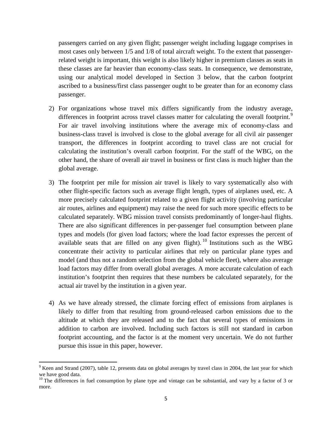passengers carried on any given flight; passenger weight including luggage comprises in most cases only between 1/5 and 1/8 of total aircraft weight. To the extent that passengerrelated weight is important, this weight is also likely higher in premium classes as seats in these classes are far heavier than economy-class seats. In consequence, we demonstrate, using our analytical model developed in Section 3 below, that the carbon footprint ascribed to a business/first class passenger ought to be greater than for an economy class passenger.

- 2) For organizations whose travel mix differs significantly from the industry average, differences in footprint across travel classes matter for calculating the overall footprint.<sup>[9](#page-6-0)</sup> For air travel involving institutions where the average mix of economy-class and business-class travel is involved is close to the global average for all civil air passenger transport, the differences in footprint according to travel class are not crucial for calculating the institution's overall carbon footprint. For the staff of the WBG, on the other hand, the share of overall air travel in business or first class is much higher than the global average.
- 3) The footprint per mile for mission air travel is likely to vary systematically also with other flight-specific factors such as average flight length, types of airplanes used, etc. A more precisely calculated footprint related to a given flight activity (involving particular air routes, airlines and equipment) may raise the need for such more specific effects to be calculated separately. WBG mission travel consists predominantly of longer-haul flights. There are also significant differences in per-passenger fuel consumption between plane types and models (for given load factors; where the load factor expresses the percent of available seats that are filled on any given flight). [10](#page-6-1) Institutions such as the WBG concentrate their activity to particular airlines that rely on particular plane types and model (and thus not a random selection from the global vehicle fleet), where also average load factors may differ from overall global averages. A more accurate calculation of each institution's footprint then requires that these numbers be calculated separately, for the actual air travel by the institution in a given year.
- 4) As we have already stressed, the climate forcing effect of emissions from airplanes is likely to differ from that resulting from ground-released carbon emissions due to the altitude at which they are released and to the fact that several types of emissions in addition to carbon are involved. Including such factors is still not standard in carbon footprint accounting, and the factor is at the moment very uncertain. We do not further pursue this issue in this paper, however.

l

<span id="page-6-0"></span> $9$  Keen and Strand (2007), table 12, presents data on global averages by travel class in 2004, the last year for which we have good data.<br><sup>10</sup> The differences in fuel consumption by plane type and vintage can be substantial, and vary by a factor of 3 or

<span id="page-6-1"></span>more.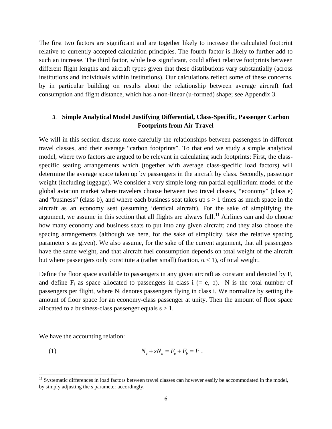The first two factors are significant and are together likely to increase the calculated footprint relative to currently accepted calculation principles. The fourth factor is likely to further add to such an increase. The third factor, while less significant, could affect relative footprints between different flight lengths and aircraft types given that these distributions vary substantially (across institutions and individuals within institutions). Our calculations reflect some of these concerns, by in particular building on results about the relationship between average aircraft fuel consumption and flight distance, which has a non-linear (u-formed) shape; see Appendix 3.

#### 3. **Simple Analytical Model Justifying Differential, Class-Specific, Passenger Carbon Footprints from Air Travel**

We will in this section discuss more carefully the relationships between passengers in different travel classes, and their average "carbon footprints". To that end we study a simple analytical model, where two factors are argued to be relevant in calculating such footprints: First, the classspecific seating arrangements which (together with average class-specific load factors) will determine the average space taken up by passengers in the aircraft by class. Secondly, passenger weight (including luggage). We consider a very simple long-run partial equilibrium model of the global aviation market where travelers choose between two travel classes, "economy" (class e) and "business" (class b), and where each business seat takes up  $s > 1$  times as much space in the aircraft as an economy seat (assuming identical aircraft). For the sake of simplifying the argument, we assume in this section that all flights are always full.<sup>[11](#page-7-0)</sup> Airlines can and do choose how many economy and business seats to put into any given aircraft; and they also choose the spacing arrangements (although we here, for the sake of simplicity, take the relative spacing parameter s as given). We also assume, for the sake of the current argument, that all passengers have the same weight, and that aircraft fuel consumption depends on total weight of the aircraft but where passengers only constitute a (rather small) fraction,  $\alpha$  < 1), of total weight.

Define the floor space available to passengers in any given aircraft as constant and denoted by F, and define  $F_i$  as space allocated to passengers in class i (= e, b). N is the total number of passengers per flight, where  $N_i$  denotes passengers flying in class i. We normalize by setting the amount of floor space for an economy-class passenger at unity. Then the amount of floor space allocated to a business-class passenger equals  $s > 1$ .

We have the accounting relation:

(1) 
$$
N_e + sN_b = F_e + F_b = F.
$$

<span id="page-7-0"></span> $11$  Systematic differences in load factors between travel classes can however easily be accommodated in the model, by simply adjusting the s parameter accordingly.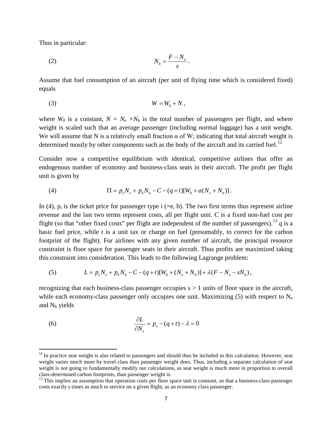Thus in particular:

 $\overline{\phantom{a}}$ 

$$
N_b = \frac{F - N_e}{s}.
$$

Assume that fuel consumption of an aircraft (per unit of flying time which is considered fixed) equals

$$
(3) \t\t W = W_0 + N,
$$

where  $W_0$  is a constant,  $N = N_e + N_b$  is the total number of passengers per flight, and where weight is scaled such that an average passenger (including normal luggage) has a unit weight. We will assume that N is a relatively small fraction  $\alpha$  of W; indicating that total aircraft weight is determined mostly by other components such as the body of the aircraft and its carried fuel.<sup>12</sup>

Consider now a competitive equilibrium with identical, competitive airlines that offer an endogenous number of economy and business-class seats in their aircraft. The profit per flight unit is given by

(4) 
$$
\Pi = p_e N_e + p_b N_b - C - (q + t)[W_0 + a(N_e + N_b)].
$$

In (4),  $p_i$  is the ticket price for passenger type i (=e, b). The two first terms thus represent airline revenue and the last two terms represent costs, all per flight unit. C is a fixed non-fuel cost per flight (so that "other fixed costs" per flight are independent of the number of passengers).<sup>[13](#page-8-1)</sup>  $q$  is a basic fuel price, while *t* is a unit tax or charge on fuel (presumably, to correct for the carbon footprint of the flight). For airlines with any given number of aircraft, the principal resource constraint is floor space for passenger seats in their aircraft. Thus profits are maximized taking this constraint into consideration. This leads to the following Lagrange problem:

(5) 
$$
L = p_e N_e + p_b N_b - C - (q + t)[W_0 + (N_e + N_b)] + \lambda (F - N_e - sN_b),
$$

recognizing that each business-class passenger occupies  $s > 1$  units of floor space in the aircraft, while each economy-class passenger only occupies one unit. Maximizing  $(5)$  with respect to N<sub>e</sub> and  $N_b$  yields

(6) 
$$
\frac{\partial L}{\partial N_e} = p_e - (q+t) - \lambda = 0
$$

<span id="page-8-0"></span><sup>&</sup>lt;sup>12</sup> In practice seat weight is also related to passengers and should thus be included in this calculation. However, seat weight varies much more by travel class than passenger weight does. Thus, including a separate calculation of seat weight is not going to fundamentally modify our calculations, as seat weight is much more in proportion to overall class-determined carbon footprints, than passenger weight is.<br><sup>13</sup> This implies an assumption that operation costs per floor space unit is constant, so that a business-class passenger

<span id="page-8-1"></span>costs exactly s times as much to service on a given flight, as an economy class passenger.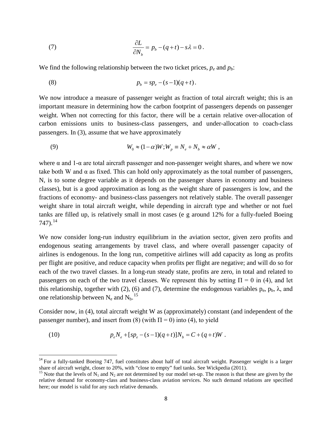(7) 
$$
\frac{\partial L}{\partial N_b} = p_b - (q+t) - s\lambda = 0.
$$

We find the following relationship between the two ticket prices,  $p_e$  and  $p_b$ :

(8) 
$$
p_b = sp_e - (s-1)(q+t).
$$

We now introduce a measure of passenger weight as fraction of total aircraft weight; this is an important measure in determining how the carbon footprint of passengers depends on passenger weight. When not correcting for this factor, there will be a certain relative over-allocation of carbon emissions units to business-class passengers, and under-allocation to coach-class passengers. In (3), assume that we have approximately

(9) 
$$
W_0 \approx (1-\alpha)W; W_p \equiv N_e + N_b \approx \alpha W,
$$

where  $\alpha$  and 1- $\alpha$  are total aircraft passenger and non-passenger weight shares, and where we now take both W and  $\alpha$  as fixed. This can hold only approximately as the total number of passengers, N, is to some degree variable as it depends on the passenger shares in economy and business classes), but is a good approximation as long as the weight share of passengers is low, and the fractions of economy- and business-class passengers not relatively stable. The overall passenger weight share in total aircraft weight, while depending in aircraft type and whether or not fuel tanks are filled up, is relatively small in most cases (e g around 12% for a fully-fueled Boeing  $747)$ .<sup>[14](#page-9-0)</sup>

We now consider long-run industry equilibrium in the aviation sector, given zero profits and endogenous seating arrangements by travel class, and where overall passenger capacity of airlines is endogenous. In the long run, competitive airlines will add capacity as long as profits per flight are positive, and reduce capacity when profits per flight are negative; and will do so for each of the two travel classes. In a long-run steady state, profits are zero, in total and related to passengers on each of the two travel classes. We represent this by setting  $\Pi = 0$  in (4), and let this relationship, together with (2), (6) and (7), determine the endogenous variables  $p_e$ ,  $p_b$ ,  $\lambda$ , and one relationship between  $N_e$  and  $N_b$ .<sup>[15](#page-9-1)</sup>

Consider now, in (4), total aircraft weight W as (approximately) constant (and independent of the passenger number), and insert from (8) (with  $\Pi = 0$ ) into (4), to yield

(10) 
$$
p_e N_e + [sp_e - (s-1)(q+t)]N_b = C + (q+t)W.
$$

<span id="page-9-0"></span><sup>&</sup>lt;sup>14</sup> For a fully-tanked Boeing 747, fuel constitutes about half of total aircraft weight. Passenger weight is a larger share of aircraft weight, closer to 20%, with "close to empty" fuel tanks. See Wickpedia (2011).<br><sup>15</sup> Note that the levels of N<sub>1</sub> and N<sub>2</sub> are not determined by our model set-up. The reason is that these are given by the

<span id="page-9-1"></span>relative demand for economy-class and business-class aviation services. No such demand relations are specified here; our model is valid for any such relative demands.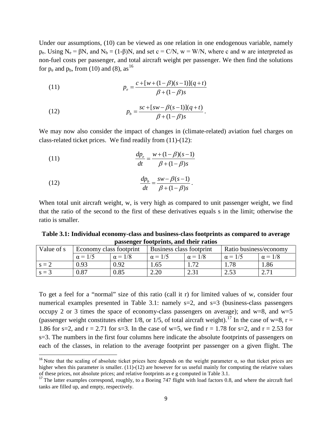Under our assumptions, (10) can be viewed as one relation in one endogenous variable, namely  $p_e$ . Using  $N_e = \beta N$ , and  $N_b = (1-\beta)N$ , and set  $c = C/N$ ,  $w = W/N$ , where c and w are interpreted as non-fuel costs per passenger, and total aircraft weight per passenger. We then find the solutions for  $p_e$  and  $p_b$ , from (10) and (8), as <sup>[16](#page-10-0)</sup>

(11) 
$$
p_e = \frac{c + [w + (1 - \beta)(s - 1)](q + t)}{\beta + (1 - \beta)s}
$$

(12) 
$$
p_b = \frac{sc + [sw - \beta(s-1)](q+t)}{\beta + (1-\beta)s}.
$$

We may now also consider the impact of changes in (climate-related) aviation fuel charges on class-related ticket prices. We find readily from (11)-(12):

(11) 
$$
\frac{dp_e}{dt} = \frac{w + (1 - \beta)(s - 1)}{\beta + (1 - \beta)s}
$$

(12) 
$$
\frac{dp_b}{dt} = \frac{sw - \beta(s-1)}{\beta + (1-\beta)s}.
$$

 $\overline{\phantom{a}}$ 

When total unit aircraft weight, w, is very high as compared to unit passenger weight, we find that the ratio of the second to the first of these derivatives equals s in the limit; otherwise the ratio is smaller.

**Table 3.1: Individual economy-class and business-class footprints as compared to average passenger footprints, and their ratios**

| Value of s | Economy class footprint |                | Business class footprint |                | Ratio business/economy |                |
|------------|-------------------------|----------------|--------------------------|----------------|------------------------|----------------|
|            | $\alpha = 1/5$          | $\alpha = 1/8$ | $\alpha = 1/5$           | $\alpha = 1/8$ | $\alpha = 1/5$         | $\alpha = 1/8$ |
| $s = 2$    | 0.93                    | 0.92           | 1.65                     |                |                        | . . 86         |
| $s = ?$    | 0.87                    | 0.85           | 2.20                     | 2.3<br>ا د.پ   | 252<br>ن ن ک           | 271            |

To get a feel for a "normal" size of this ratio (call it r) for limited values of w, consider four numerical examples presented in Table 3.1: namely s=2, and s=3 (business-class passengers occupy 2 or 3 times the space of economy-class passengers on average); and w=8, and w=5 (passenger weight constitutes either 1/8, or 1/5, of total aircraft weight).<sup>[17](#page-10-1)</sup> In the case of w=8, r = 1.86 for s=2, and  $r = 2.71$  for s=3. In the case of w=5, we find  $r = 1.78$  for s=2, and  $r = 2.53$  for s=3. The numbers in the first four columns here indicate the absolute footprints of passengers on each of the classes, in relation to the average footprint per passenger on a given flight. The

<span id="page-10-0"></span><sup>&</sup>lt;sup>16</sup> Note that the scaling of absolute ticket prices here depends on the weight parameter  $\alpha$ , so that ticket prices are higher when this parameter is smaller.  $(11)-(12)$  are however for us useful mainly for computing the relative values of these prices, not absolute prices; and relative footprints as e g computed in Table 3.1.

<span id="page-10-1"></span> $17$  The latter examples correspond, roughly, to a Boeing 747 flight with load factors 0.8, and where the aircraft fuel tanks are filled up, and empty, respectively.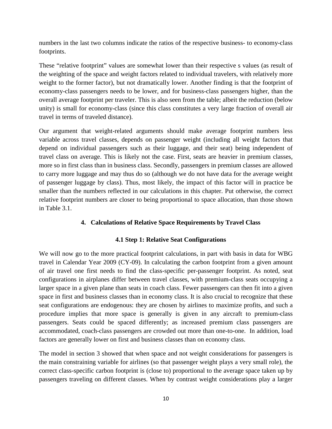numbers in the last two columns indicate the ratios of the respective business- to economy-class footprints.

These "relative footprint" values are somewhat lower than their respective s values (as result of the weighting of the space and weight factors related to individual travelers, with relatively more weight to the former factor), but not dramatically lower. Another finding is that the footprint of economy-class passengers needs to be lower, and for business-class passengers higher, than the overall average footprint per traveler. This is also seen from the table; albeit the reduction (below unity) is small for economy-class (since this class constitutes a very large fraction of overall air travel in terms of traveled distance).

Our argument that weight-related arguments should make average footprint numbers less variable across travel classes, depends on passenger weight (including all weight factors that depend on individual passengers such as their luggage, and their seat) being independent of travel class on average. This is likely not the case. First, seats are heavier in premium classes, more so in first class than in business class. Secondly, passengers in premium classes are allowed to carry more luggage and may thus do so (although we do not have data for the average weight of passenger luggage by class). Thus, most likely, the impact of this factor will in practice be smaller than the numbers reflected in our calculations in this chapter. Put otherwise, the correct relative footprint numbers are closer to being proportional to space allocation, than those shown in Table 3.1.

#### **4. Calculations of Relative Space Requirements by Travel Class**

#### **4.1 Step 1: Relative Seat Configurations**

We will now go to the more practical footprint calculations, in part with basis in data for WBG travel in Calendar Year 2009 (CY-09). In calculating the carbon footprint from a given amount of air travel one first needs to find the class-specific per-passenger footprint. As noted, seat configurations in airplanes differ between travel classes, with premium-class seats occupying a larger space in a given plane than seats in coach class. Fewer passengers can then fit into a given space in first and business classes than in economy class. It is also crucial to recognize that these seat configurations are endogenous: they are chosen by airlines to maximize profits, and such a procedure implies that more space is generally is given in any aircraft to premium-class passengers. Seats could be spaced differently; as increased premium class passengers are accommodated, coach-class passengers are crowded out more than one-to-one. In addition, load factors are generally lower on first and business classes than on economy class.

The model in section 3 showed that when space and not weight considerations for passengers is the main constraining variable for airlines (so that passenger weight plays a very small role), the correct class-specific carbon footprint is (close to) proportional to the average space taken up by passengers traveling on different classes. When by contrast weight considerations play a larger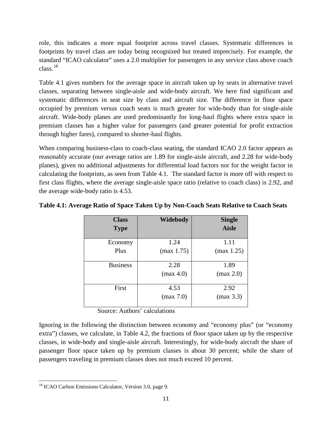role, this indicates a more equal footprint across travel classes. Systematic differences in footprints by travel class are today being recognized but treated imprecisely. For example, the standard "ICAO calculator" uses a 2.0 multiplier for passengers in any service class above coach class.[18](#page-12-0)

Table 4.1 gives numbers for the average space in aircraft taken up by seats in alternative travel classes, separating between single-aisle and wide-body aircraft. We here find significant and systematic differences in seat size by class and aircraft size. The difference in floor space occupied by premium versus coach seats is much greater for wide-body than for single-aisle aircraft. Wide-body planes are used predominantly for long-haul flights where extra space in premium classes has a higher value for passengers (and greater potential for profit extraction through higher fares), compared to shorter-haul flights.

When comparing business-class to coach-class seating, the standard ICAO 2.0 factor appears as reasonably accurate (our average ratios are 1.89 for single-aisle aircraft, and 2.28 for wide-body planes), given no additional adjustments for differential load factors nor for the weight factor in calculating the footprints, as seen from Table 4.1. The standard factor is more off with respect to first class flights, where the average single-aisle space ratio (relative to coach class) is 2.92, and the average wide-body ratio is 4.53.

| <b>Class</b>    | Widebody   | <b>Single</b> |
|-----------------|------------|---------------|
| <b>Type</b>     |            | <b>Aisle</b>  |
| Economy         | 1.24       | 1.11          |
| Plus            | (max 1.75) | (max 1.25)    |
| <b>Business</b> | 2.28       | 1.89          |
|                 | (max 4.0)  | (max 2.0)     |
| First           | 4.53       | 2.92          |
|                 | (max 7.0)  | (max 3.3)     |
|                 |            |               |

**Table 4.1: Average Ratio of Space Taken Up by Non-Coach Seats Relative to Coach Seats** 

Source: Authors' calculations

Ignoring in the following the distinction between economy and "economy plus" (or "economy extra") classes, we calculate, in Table 4.2, the fractions of floor space taken up by the respective classes, in wide-body and single-aisle aircraft. Interestingly, for wide-body aircraft the share of passenger floor space taken up by premium classes is about 30 percent; while the share of passengers traveling in premium classes does not much exceed 10 percent.

l

<span id="page-12-0"></span><sup>&</sup>lt;sup>18</sup> ICAO Carbon Emissions Calculator, Version 3.0, page 9.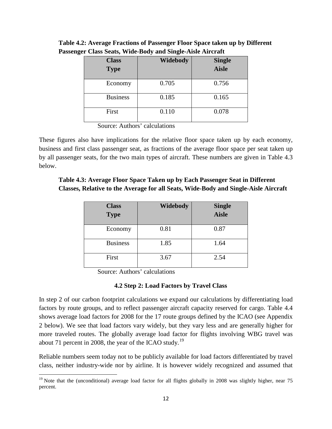| <b>Class</b><br><b>Type</b> | Widebody | <b>Single</b><br><b>Aisle</b> |
|-----------------------------|----------|-------------------------------|
| Economy                     | 0.705    | 0.756                         |
| <b>Business</b>             | 0.185    | 0.165                         |
| First                       | 0.110    | 0.078                         |

**Table 4.2: Average Fractions of Passenger Floor Space taken up by Different Passenger Class Seats, Wide-Body and Single-Aisle Aircraft**

Source: Authors' calculations

These figures also have implications for the relative floor space taken up by each economy, business and first class passenger seat, as fractions of the average floor space per seat taken up by all passenger seats, for the two main types of aircraft. These numbers are given in Table 4.3 below.

#### **Table 4.3: Average Floor Space Taken up by Each Passenger Seat in Different Classes, Relative to the Average for all Seats, Wide-Body and Single-Aisle Aircraft**

| <b>Class</b>    | <b>Widebody</b> | <b>Single</b> |
|-----------------|-----------------|---------------|
| <b>Type</b>     |                 | <b>Aisle</b>  |
| Economy         | 0.81            | 0.87          |
| <b>Business</b> | 1.85            | 1.64          |
| First           | 3.67            | 2.54          |

Source: Authors' calculations

#### **4.2 Step 2: Load Factors by Travel Class**

In step 2 of our carbon footprint calculations we expand our calculations by differentiating load factors by route groups, and to reflect passenger aircraft capacity reserved for cargo. Table 4.4 shows average load factors for 2008 for the 17 route groups defined by the ICAO (see Appendix 2 below). We see that load factors vary widely, but they vary less and are generally higher for more traveled routes. The globally average load factor for flights involving WBG travel was about 71 percent in 2008, the year of the ICAO study.<sup>[19](#page-13-0)</sup>

Reliable numbers seem today not to be publicly available for load factors differentiated by travel class, neither industry-wide nor by airline. It is however widely recognized and assumed that

<span id="page-13-0"></span>l <sup>19</sup> Note that the (unconditional) average load factor for all flights globally in 2008 was slightly higher, near 75 percent.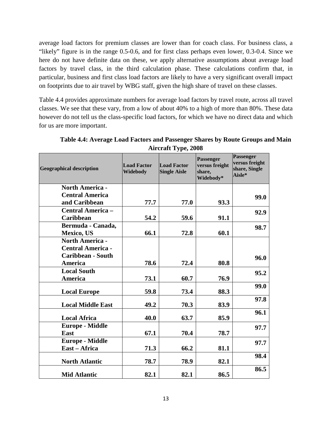average load factors for premium classes are lower than for coach class. For business class, a "likely" figure is in the range 0.5-0.6, and for first class perhaps even lower, 0.3-0.4. Since we here do not have definite data on these, we apply alternative assumptions about average load factors by travel class, in the third calculation phase. These calculations confirm that, in particular, business and first class load factors are likely to have a very significant overall impact on footprints due to air travel by WBG staff, given the high share of travel on these classes.

Table 4.4 provides approximate numbers for average load factors by travel route, across all travel classes. We see that these vary, from a low of about 40% to a high of more than 80%. These data however do not tell us the class-specific load factors, for which we have no direct data and which for us are more important.

| <b>Geographical description</b> | <b>Load Factor</b><br>Widebody | <b>Load Factor</b><br><b>Single Aisle</b> | <b>Passenger</b><br>versus freight<br>share,<br>Widebody* | <b>Passenger</b><br>versus freight<br>share, Single<br>Aisle* |
|---------------------------------|--------------------------------|-------------------------------------------|-----------------------------------------------------------|---------------------------------------------------------------|
| <b>North America -</b>          |                                |                                           |                                                           |                                                               |
| <b>Central America</b>          |                                |                                           |                                                           | 99.0                                                          |
| and Caribbean                   | 77.7                           | 77.0                                      | 93.3                                                      |                                                               |
| <b>Central America -</b>        |                                |                                           |                                                           | 92.9                                                          |
| <b>Caribbean</b>                | 54.2                           | 59.6                                      | 91.1                                                      |                                                               |
| Bermuda - Canada,               |                                |                                           |                                                           | 98.7                                                          |
| <b>Mexico</b> , US              | 66.1                           | 72.8                                      | 60.1                                                      |                                                               |
| <b>North America -</b>          |                                |                                           |                                                           |                                                               |
| <b>Central America -</b>        |                                |                                           |                                                           |                                                               |
| <b>Caribbean - South</b>        |                                |                                           |                                                           | 96.0                                                          |
| <b>America</b>                  | 78.6                           | 72.4                                      | 80.8                                                      |                                                               |
| <b>Local South</b>              |                                |                                           |                                                           | 95.2                                                          |
| America                         | 73.1                           | 60.7                                      | 76.9                                                      |                                                               |
|                                 |                                |                                           |                                                           | 99.0                                                          |
| <b>Local Europe</b>             | 59.8                           | 73.4                                      | 88.3                                                      |                                                               |
| <b>Local Middle East</b>        | 49.2                           | 70.3                                      | 83.9                                                      | 97.8                                                          |
|                                 |                                |                                           |                                                           | 96.1                                                          |
| <b>Local Africa</b>             | 40.0                           | 63.7                                      | 85.9                                                      |                                                               |
| <b>Europe - Middle</b>          |                                |                                           |                                                           | 97.7                                                          |
| <b>East</b>                     | 67.1                           | 70.4                                      | 78.7                                                      |                                                               |
| <b>Europe - Middle</b>          |                                |                                           |                                                           | 97.7                                                          |
| East - Africa                   | 71.3                           | 66.2                                      | 81.1                                                      |                                                               |
| <b>North Atlantic</b>           | 78.7                           | 78.9                                      | 82.1                                                      | 98.4                                                          |
| <b>Mid Atlantic</b>             | 82.1                           | 82.1                                      | 86.5                                                      | 86.5                                                          |

**Table 4.4: Average Load Factors and Passenger Shares by Route Groups and Main Aircraft Type, 2008**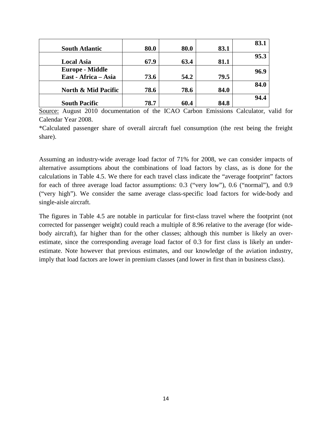| 80.0 | 80.0                         | 83.1                         | 83.1                         |
|------|------------------------------|------------------------------|------------------------------|
|      |                              |                              | 95.3                         |
|      |                              |                              |                              |
|      |                              |                              | 96.9                         |
|      |                              |                              |                              |
|      |                              |                              | 84.0                         |
|      |                              |                              |                              |
|      |                              |                              | 94.4                         |
|      | 67.9<br>73.6<br>78.6<br>78.7 | 63.4<br>54.2<br>78.6<br>60.4 | 81.1<br>79.5<br>84.0<br>84.8 |

Source: August 2010 documentation of the ICAO Carbon Emissions Calculator, valid for Calendar Year 2008.

\*Calculated passenger share of overall aircraft fuel consumption (the rest being the freight share).

Assuming an industry-wide average load factor of 71% for 2008, we can consider impacts of alternative assumptions about the combinations of load factors by class, as is done for the calculations in Table 4.5. We there for each travel class indicate the "average footprint" factors for each of three average load factor assumptions: 0.3 ("very low"), 0.6 ("normal"), and 0.9 ("very high"). We consider the same average class-specific load factors for wide-body and single-aisle aircraft.

The figures in Table 4.5 are notable in particular for first-class travel where the footprint (not corrected for passenger weight) could reach a multiple of 8.96 relative to the average (for widebody aircraft), far higher than for the other classes; although this number is likely an overestimate, since the corresponding average load factor of 0.3 for first class is likely an underestimate. Note however that previous estimates, and our knowledge of the aviation industry, imply that load factors are lower in premium classes (and lower in first than in business class).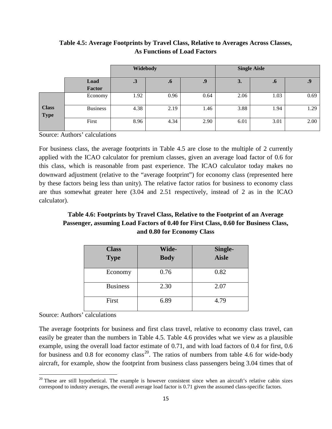|                             |                 | Widebody |                    |      |      | <b>Single Aisle</b> |      |
|-----------------------------|-----------------|----------|--------------------|------|------|---------------------|------|
|                             | Load            | .3       | $\cdot \mathbf{p}$ | .9   | 3.   | $\cdot$ o           | .9   |
|                             | <b>Factor</b>   |          |                    |      |      |                     |      |
|                             | Economy         | 1.92     | 0.96               | 0.64 | 2.06 | 1.03                | 0.69 |
| <b>Class</b><br><b>Type</b> | <b>Business</b> | 4.38     | 2.19               | 1.46 | 3.88 | 1.94                | 1.29 |
|                             | First           | 8.96     | 4.34               | 2.90 | 6.01 | 3.01                | 2.00 |

# **Table 4.5: Average Footprints by Travel Class, Relative to Averages Across Classes, As Functions of Load Factors**

Source: Authors' calculations

For business class, the average footprints in Table 4.5 are close to the multiple of 2 currently applied with the ICAO calculator for premium classes, given an average load factor of 0.6 for this class, which is reasonable from past experience. The ICAO calculator today makes no downward adjustment (relative to the "average footprint") for economy class (represented here by these factors being less than unity). The relative factor ratios for business to economy class are thus somewhat greater here (3.04 and 2.51 respectively, instead of 2 as in the ICAO calculator).

# **Table 4.6: Footprints by Travel Class, Relative to the Footprint of an Average Passenger, assuming Load Factors of 0.40 for First Class, 0.60 for Business Class, and 0.80 for Economy Class**

| <b>Class</b><br><b>Type</b> | Wide-<br><b>Body</b> | Single-<br><b>Aisle</b> |
|-----------------------------|----------------------|-------------------------|
| Economy                     | 0.76                 | 0.82                    |
| <b>Business</b>             | 2.30                 | 2.07                    |
| First                       | 6.89                 | 4.79                    |

## Source: Authors' calculations

l

The average footprints for business and first class travel, relative to economy class travel, can easily be greater than the numbers in Table 4.5. Table 4.6 provides what we view as a plausible example, using the overall load factor estimate of 0.71, and with load factors of 0.4 for first, 0.6 for business and 0.8 for economy class<sup>20</sup>. The ratios of numbers from table 4.6 for wide-body aircraft, for example, show the footprint from business class passengers being 3.04 times that of

<span id="page-16-0"></span> $20$  These are still hypothetical. The example is however consistent since when an aircraft's relative cabin sizes correspond to industry averages, the overall average load factor is 0.71 given the assumed class-specific factors.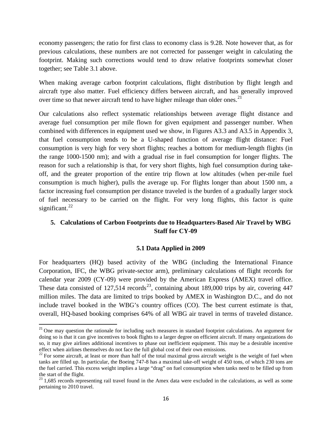economy passengers; the ratio for first class to economy class is 9.28. Note however that, as for previous calculations, these numbers are not corrected for passenger weight in calculating the footprint. Making such corrections would tend to draw relative footprints somewhat closer together; see Table 3.1 above.

When making average carbon footprint calculations, flight distribution by flight length and aircraft type also matter. Fuel efficiency differs between aircraft, and has generally improved over time so that newer aircraft tend to have higher mileage than older ones.<sup>[21](#page-17-0)</sup>

Our calculations also reflect systematic relationships between average flight distance and average fuel consumption per mile flown for given equipment and passenger number. When combined with differences in equipment used we show, in Figures A3.3 and A3.5 in Appendix 3, that fuel consumption tends to be a U-shaped function of average flight distance: Fuel consumption is very high for very short flights; reaches a bottom for medium-length flights (in the range 1000-1500 nm); and with a gradual rise in fuel consumption for longer flights. The reason for such a relationship is that, for very short flights, high fuel consumption during takeoff, and the greater proportion of the entire trip flown at low altitudes (when per-mile fuel consumption is much higher), pulls the average up. For flights longer than about 1500 nm, a factor increasing fuel consumption per distance traveled is the burden of a gradually larger stock of fuel necessary to be carried on the flight. For very long flights, this factor is quite significant. $^{22}$  $^{22}$  $^{22}$ 

#### **5. Calculations of Carbon Footprints due to Headquarters-Based Air Travel by WBG Staff for CY-09**

#### **5.1 Data Applied in 2009**

For headquarters (HQ) based activity of the WBG (including the International Finance Corporation, IFC, the WBG private-sector arm), preliminary calculations of flight records for calendar year 2009 (CY-09) were provided by the American Express (AMEX) travel office. These data consisted of  $127,514$  records<sup>23</sup>, containing about 189,000 trips by air, covering 447 million miles. The data are limited to trips booked by AMEX in Washington D.C., and do not include travel booked in the WBG's country offices (CO). The best current estimate is that, overall, HQ-based booking comprises 64% of all WBG air travel in terms of traveled distance.

l

<span id="page-17-0"></span><sup>&</sup>lt;sup>21</sup> One may question the rationale for including such measures in standard footprint calculations. An argument for doing so is that it can give incentives to book flights to a larger degree on efficient aircraft. If many organizations do so, it may give airlines additional incentives to phase out inefficient equipment. This may be a desirable incentive

<span id="page-17-1"></span> $22$  For some aircraft, at least or more than half of the total maximal gross aircraft weight is the weight of fuel when tanks are filled up. In particular, the Boeing 747-8 has a maximal take-off weight of 450 tons, of which 230 tons are the fuel carried. This excess weight implies a large "drag" on fuel consumption when tanks need to be filled up from the start of the flight.

<span id="page-17-2"></span> $23$  1,685 records representing rail travel found in the Amex data were excluded in the calculations, as well as some pertaining to 2010 travel.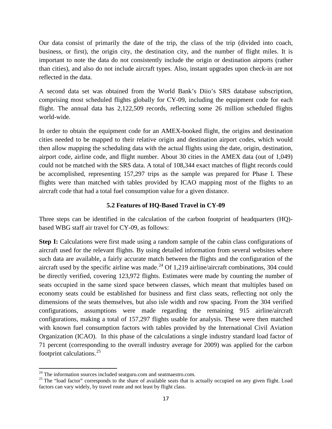Our data consist of primarily the date of the trip, the class of the trip (divided into coach, business, or first), the origin city, the destination city, and the number of flight miles. It is important to note the data do not consistently include the origin or destination airports (rather than cities), and also do not include aircraft types. Also, instant upgrades upon check-in are not reflected in the data.

A second data set was obtained from the World Bank's Diio's SRS database subscription, comprising most scheduled flights globally for CY-09, including the equipment code for each flight. The annual data has 2,122,509 records, reflecting some 26 million scheduled flights world-wide.

In order to obtain the equipment code for an AMEX-booked flight, the origins and destination cities needed to be mapped to their relative origin and destination airport codes, which would then allow mapping the scheduling data with the actual flights using the date, origin, destination, airport code, airline code, and flight number. About 30 cities in the AMEX data (out of 1,049) could not be matched with the SRS data. A total of 108,344 exact matches of flight records could be accomplished, representing 157,297 trips as the sample was prepared for Phase I. These flights were than matched with tables provided by ICAO mapping most of the flights to an aircraft code that had a total fuel consumption value for a given distance.

#### **5.2 Features of HQ-Based Travel in CY-09**

Three steps can be identified in the calculation of the carbon footprint of headquarters (HQ) based WBG staff air travel for CY-09, as follows:

**Step I:** Calculations were first made using a random sample of the cabin class configurations of aircraft used for the relevant flights. By using detailed information from several websites where such data are available, a fairly accurate match between the flights and the configuration of the aircraft used by the specific airline was made.<sup>[24](#page-18-0)</sup> Of 1,219 airline/aircraft combinations, 304 could be directly verified, covering 123,972 flights. Estimates were made by counting the number of seats occupied in the same sized space between classes, which meant that multiples based on economy seats could be established for business and first class seats, reflecting not only the dimensions of the seats themselves, but also isle width and row spacing. From the 304 verified configurations, assumptions were made regarding the remaining 915 airline/aircraft configurations, making a total of 157,297 flights usable for analysis. These were then matched with known fuel consumption factors with tables provided by the International Civil Aviation Organization (ICAO). In this phase of the calculations a single industry standard load factor of 71 percent (corresponding to the overall industry average for 2009) was applied for the carbon footprint calculations.[25](#page-18-1)

 $24$  The information sources included seatguru.com and seatmaestro.com.

<span id="page-18-1"></span><span id="page-18-0"></span><sup>&</sup>lt;sup>25</sup> The "load factor" corresponds to the share of available seats that is actually occupied on any given flight. Load factors can vary widely, by travel route and not least by flight class.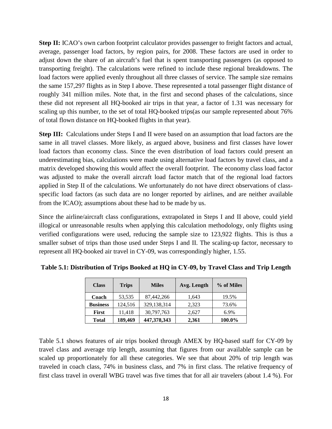**Step II:** ICAO's own carbon footprint calculator provides passenger to freight factors and actual, average, passenger load factors, by region pairs, for 2008. These factors are used in order to adjust down the share of an aircraft's fuel that is spent transporting passengers (as opposed to transporting freight). The calculations were refined to include these regional breakdowns. The load factors were applied evenly throughout all three classes of service. The sample size remains the same 157,297 flights as in Step I above. These represented a total passenger flight distance of roughly 341 million miles. Note that, in the first and second phases of the calculations, since these did not represent all HQ-booked air trips in that year, a factor of 1.31 was necessary for scaling up this number, to the set of total HQ-booked trips(as our sample represented about 76% of total flown distance on HQ-booked flights in that year).

**Step III:** Calculations under Steps I and II were based on an assumption that load factors are the same in all travel classes. More likely, as argued above, business and first classes have lower load factors than economy class. Since the even distribution of load factors could present an underestimating bias, calculations were made using alternative load factors by travel class, and a matrix developed showing this would affect the overall footprint. The economy class load factor was adjusted to make the overall aircraft load factor match that of the regional load factors applied in Step II of the calculations. We unfortunately do not have direct observations of classspecific load factors (as such data are no longer reported by airlines, and are neither available from the ICAO); assumptions about these had to be made by us.

Since the airline/aircraft class configurations, extrapolated in Steps I and II above, could yield illogical or unreasonable results when applying this calculation methodology, only flights using verified configurations were used, reducing the sample size to 123,922 flights. This is thus a smaller subset of trips than those used under Steps I and II. The scaling-up factor, necessary to represent all HQ-booked air travel in CY-09, was correspondingly higher, 1.55.

| <b>Class</b>    | <b>Trips</b> | Avg. Length<br><b>Miles</b> |       | % of Miles |
|-----------------|--------------|-----------------------------|-------|------------|
| Coach           | 53,535       | 87,442,266                  | 1,643 | 19.5%      |
| <b>Business</b> | 124,516      | 329,138,314                 | 2,323 | 73.6%      |
| First           | 11,418       | 30,797,763                  | 2.627 | 6.9%       |
| Total           | 189,469      | 447,378,343                 | 2,361 | 100.0%     |

**Table 5.1: Distribution of Trips Booked at HQ in CY-09, by Travel Class and Trip Length**

Table 5.1 shows features of air trips booked through AMEX by HQ-based staff for CY-09 by travel class and average trip length, assuming that figures from our available sample can be scaled up proportionately for all these categories. We see that about 20% of trip length was traveled in coach class, 74% in business class, and 7% in first class. The relative frequency of first class travel in overall WBG travel was five times that for all air travelers (about 1.4 %). For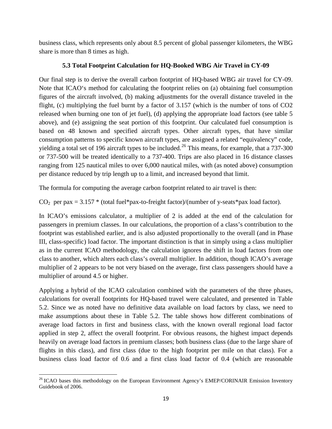business class, which represents only about 8.5 percent of global passenger kilometers, the WBG share is more than 8 times as high.

# **5.3 Total Footprint Calculation for HQ-Booked WBG Air Travel in CY-09**

Our final step is to derive the overall carbon footprint of HQ-based WBG air travel for CY-09. Note that ICAO's method for calculating the footprint relies on (a) obtaining fuel consumption figures of the aircraft involved, (b) making adjustments for the overall distance traveled in the flight, (c) multiplying the fuel burnt by a factor of 3.157 (which is the number of tons of CO2 released when burning one ton of jet fuel), (d) applying the appropriate load factors (see table 5 above), and (e) assigning the seat portion of this footprint. Our calculated fuel consumption is based on 48 known and specified aircraft types. Other aircraft types, that have similar consumption patterns to specific known aircraft types, are assigned a related "equivalency" code, yielding a total set of 196 aircraft types to be included.<sup>[26](#page-20-0)</sup> This means, for example, that a 737-300 or 737-500 will be treated identically to a 737-400. Trips are also placed in 16 distance classes ranging from 125 nautical miles to over 6,000 nautical miles, with (as noted above) consumption per distance reduced by trip length up to a limit, and increased beyond that limit.

The formula for computing the average carbon footprint related to air travel is then:

 $CO<sub>2</sub>$  per pax = 3.157  $*$  (total fuel  $*$ pax-to-freight factor)/(number of y-seats  $*$ pax load factor).

In ICAO's emissions calculator, a multiplier of 2 is added at the end of the calculation for passengers in premium classes. In our calculations, the proportion of a class's contribution to the footprint was established earlier, and is also adjusted proportionally to the overall (and in Phase III, class-specific) load factor. The important distinction is that in simply using a class multiplier as in the current ICAO methodology, the calculation ignores the shift in load factors from one class to another, which alters each class's overall multiplier. In addition, though ICAO's average multiplier of 2 appears to be not very biased on the average, first class passengers should have a multiplier of around 4.5 or higher.

Applying a hybrid of the ICAO calculation combined with the parameters of the three phases, calculations for overall footprints for HQ-based travel were calculated, and presented in Table 5.2. Since we as noted have no definitive data available on load factors by class, we need to make assumptions about these in Table 5.2. The table shows how different combinations of average load factors in first and business class, with the known overall regional load factor applied in step 2, affect the overall footprint. For obvious reasons, the highest impact depends heavily on average load factors in premium classes; both business class (due to the large share of flights in this class), and first class (due to the high footprint per mile on that class). For a business class load factor of 0.6 and a first class load factor of 0.4 (which are reasonable

<span id="page-20-0"></span>l <sup>26</sup> ICAO bases this methodology on the European Environment Agency's EMEP/CORINAIR Emission Inventory Guidebook of 2006.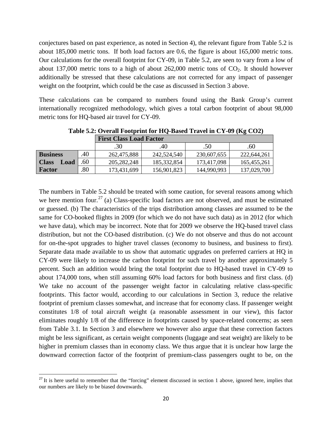conjectures based on past experience, as noted in Section 4), the relevant figure from Table 5.2 is about 185,000 metric tons. If both load factors are 0.6, the figure is about 165,000 metric tons. Our calculations for the overall footprint for CY-09, in Table 5.2, are seen to vary from a low of about 137,000 metric tons to a high of about  $262,000$  metric tons of  $CO<sub>2</sub>$ . It should however additionally be stressed that these calculations are not corrected for any impact of passenger weight on the footprint, which could be the case as discussed in Section 3 above.

These calculations can be compared to numbers found using the Bank Group's current internationally recognized methodology, which gives a total carbon footprint of about 98,000 metric tons for HQ-based air travel for CY-09.

|                      |     | <b>First Class Load Factor</b> |               |             |             |
|----------------------|-----|--------------------------------|---------------|-------------|-------------|
|                      |     | .30                            | .40           | .50         | .60         |
| <b>Business</b>      | 40  | 262,475,888                    | 242,524,540   | 230,607,655 | 222,644,261 |
| <b>Class</b><br>Load | .60 | 205, 282, 248                  | 185, 332, 854 | 173,417,098 | 165,455,261 |
| Factor               | .80 | 173,431,699                    | 156,901,823   | 144,990,993 | 137,029,700 |

**Table 5.2: Overall Footprint for HQ-Based Travel in CY-09 (Kg CO2)**

The numbers in Table 5.2 should be treated with some caution, for several reasons among which we here mention four.<sup>[27](#page-21-0)</sup> (a) Class-specific load factors are not observed, and must be estimated or guessed. (b) The characteristics of the trips distribution among classes are assumed to be the same for CO-booked flights in 2009 (for which we do not have such data) as in 2012 (for which we have data), which may be incorrect. Note that for 2009 we observe the HQ-based travel class distribution, but not the CO-based distribution. (c) We do not observe and thus do not account for on-the-spot upgrades to higher travel classes (economy to business, and business to first). Separate data made available to us show that automatic upgrades on preferred carriers at HQ in CY-09 were likely to increase the carbon footprint for such travel by another approximately 5 percent. Such an addition would bring the total footprint due to HQ-based travel in CY-09 to about 174,000 tons, when still assuming 60% load factors for both business and first class. (d) We take no account of the passenger weight factor in calculating relative class-specific footprints. This factor would, according to our calculations in Section 3, reduce the relative footprint of premium classes somewhat, and increase that for economy class. If passenger weight constitutes 1/8 of total aircraft weight (a reasonable assessment in our view), this factor eliminates roughly 1/8 of the difference in footprints caused by space-related concerns; as seen from Table 3.1. In Section 3 and elsewhere we however also argue that these correction factors might be less significant, as certain weight components (luggage and seat weight) are likely to be higher in premium classes than in economy class. We thus argue that it is unclear how large the downward correction factor of the footprint of premium-class passengers ought to be, on the

<span id="page-21-0"></span> $2^{27}$  It is here useful to remember that the "forcing" element discussed in section 1 above, ignored here, implies that our numbers are likely to be biased downwards.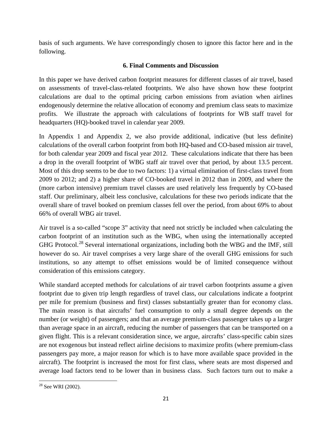basis of such arguments. We have correspondingly chosen to ignore this factor here and in the following.

## **6. Final Comments and Discussion**

In this paper we have derived carbon footprint measures for different classes of air travel, based on assessments of travel-class-related footprints. We also have shown how these footprint calculations are dual to the optimal pricing carbon emissions from aviation when airlines endogenously determine the relative allocation of economy and premium class seats to maximize profits. We illustrate the approach with calculations of footprints for WB staff travel for headquarters (HQ)-booked travel in calendar year 2009.

In Appendix 1 and Appendix 2, we also provide additional, indicative (but less definite) calculations of the overall carbon footprint from both HQ-based and CO-based mission air travel, for both calendar year 2009 and fiscal year 2012. These calculations indicate that there has been a drop in the overall footprint of WBG staff air travel over that period, by about 13.5 percent. Most of this drop seems to be due to two factors: 1) a virtual elimination of first-class travel from 2009 to 2012; and 2) a higher share of CO-booked travel in 2012 than in 2009, and where the (more carbon intensive) premium travel classes are used relatively less frequently by CO-based staff. Our preliminary, albeit less conclusive, calculations for these two periods indicate that the overall share of travel booked on premium classes fell over the period, from about 69% to about 66% of overall WBG air travel.

Air travel is a so-called "scope 3" activity that need not strictly be included when calculating the carbon footprint of an institution such as the WBG, when using the internationally accepted GHG Protocol.<sup>[28](#page-22-0)</sup> Several international organizations, including both the WBG and the IMF, still however do so. Air travel comprises a very large share of the overall GHG emissions for such institutions, so any attempt to offset emissions would be of limited consequence without consideration of this emissions category.

While standard accepted methods for calculations of air travel carbon footprints assume a given footprint due to given trip length regardless of travel class, our calculations indicate a footprint per mile for premium (business and first) classes substantially greater than for economy class. The main reason is that aircrafts' fuel consumption to only a small degree depends on the number (or weight) of passengers; and that an average premium-class passenger takes up a larger than average space in an aircraft, reducing the number of passengers that can be transported on a given flight. This is a relevant consideration since, we argue, aircrafts' class-specific cabin sizes are not exogenous but instead reflect airline decisions to maximize profits (where premium-class passengers pay more, a major reason for which is to have more available space provided in the aircraft). The footprint is increased the most for first class, where seats are most dispersed and average load factors tend to be lower than in business class. Such factors turn out to make a

<span id="page-22-0"></span>l <sup>28</sup> See WRI (2002).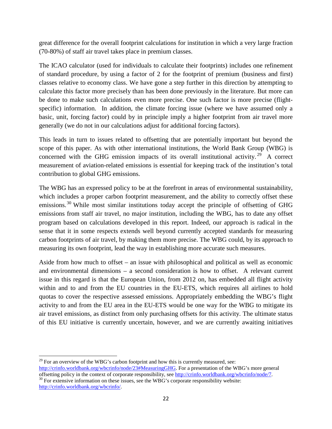great difference for the overall footprint calculations for institution in which a very large fraction (70-80%) of staff air travel takes place in premium classes.

The ICAO calculator (used for individuals to calculate their footprints) includes one refinement of standard procedure, by using a factor of 2 for the footprint of premium (business and first) classes relative to economy class. We have gone a step further in this direction by attempting to calculate this factor more precisely than has been done previously in the literature. But more can be done to make such calculations even more precise. One such factor is more precise (flightspecific) information. In addition, the climate forcing issue (where we have assumed only a basic, unit, forcing factor) could by in principle imply a higher footprint from air travel more generally (we do not in our calculations adjust for additional forcing factors).

This leads in turn to issues related to offsetting that are potentially important but beyond the scope of this paper. As with other international institutions, the World Bank Group (WBG) is concerned with the GHG emission impacts of its overall institutional activity.<sup>[29](#page-23-0)</sup> A correct measurement of aviation-related emissions is essential for keeping track of the institution's total contribution to global GHG emissions.

The WBG has an expressed policy to be at the forefront in areas of environmental sustainability, which includes a proper carbon footprint measurement, and the ability to correctly offset these emissions.<sup>[30](#page-23-1)</sup> While most similar institutions today accept the principle of offsetting of GHG emissions from staff air travel, no major institution, including the WBG, has to date any offset program based on calculations developed in this report. Indeed, our approach is radical in the sense that it in some respects extends well beyond currently accepted standards for measuring carbon footprints of air travel, by making them more precise. The WBG could, by its approach to measuring its own footprint, lead the way in establishing more accurate such measures.

Aside from how much to offset – an issue with philosophical and political as well as economic and environmental dimensions – a second consideration is how to offset. A relevant current issue in this regard is that the European Union, from 2012 on, has embedded all flight activity within and to and from the EU countries in the EU-ETS, which requires all airlines to hold quotas to cover the respective assessed emissions. Appropriately embedding the WBG's flight activity to and from the EU area in the EU-ETS would be one way for the WBG to mitigate its air travel emissions, as distinct from only purchasing offsets for this activity. The ultimate status of this EU initiative is currently uncertain, however, and we are currently awaiting initiatives

<span id="page-23-0"></span> $\overline{\phantom{a}}$  $29$  For an overview of the WBG's carbon footprint and how this is currently measured, see: [http://crinfo.worldbank.org/wbcrinfo/node/23#MeasuringGHG.](http://crinfo.worldbank.org/wbcrinfo/node/23#MeasuringGHG) For a presentation of the WBG's more general offsetting policy in the context of corporate responsibility, see http://crinfo.worldbank.org/wbcrinfo/node/7.  $\frac{6}{30}$  For extensive information on these issues, see the WBG's corporate responsibility website:

<span id="page-23-1"></span>[http://crinfo.worldbank.org/wbcrinfo/.](http://crinfo.worldbank.org/wbcrinfo/)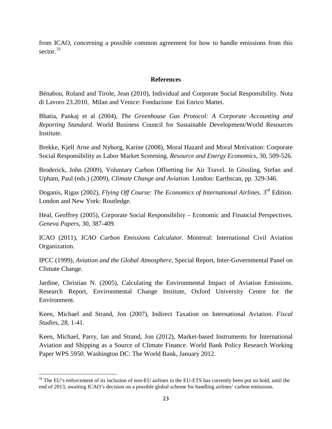from ICAO, concerning a possible common agreement for how to handle emissions from this sector. [31](#page-24-0)

#### **References**

Bénabou, Roland and Tirole, Jean (2010), Individual and Corporate Social Responsibility. Nota di Lavoro 23.2010, Milan and Venice: Fondazione Eni Enrico Mattei.

Bhatia, Pankaj et al (2004), *The Greenhouse Gas Protocol: A Corporate Accounting and Reporting Standard.* World Business Council for Sustainable Development/World Resources Institute.

Brekke, Kjell Arne and Nyborg, Karine (2008), Moral Hazard and Moral Motivation: Corporate Social Responsibility as Labor Market Screening. *Resource and Energy Economics*, 30, 509-526.

Broderick, John (2009), Voluntary Carbon Offsetting for Air Travel. In Gössling, Stefan and Upham, Paul (eds.) (2009), *Climate Change and Aviation*. London: Earthscan, pp. 329-346.

Doganis, Rigas (2002), *Flying Off Course: The Economics of International Airlines*. 3rd Edition. London and New York: Routledge.

Heal, Geoffrey (2005), Corporate Social Responsibility – Economic and Financial Perspectives. *Geneva Papers*, 30, 387-409.

ICAO (2011), *ICAO Carbon Emissions Calculator*. Montreal: International Civil Aviation Organization.

IPCC (1999), *Aviation and the Global Atmosphere*, Special Report, Inter-Governmental Panel on Climate Change.

Jardine, Christian N. (2005), Calculating the Environmental Impact of Aviation Emissions. Research Report, Environmental Change Institute, Oxford University Centre for the Environment.

Keen, Michael and Strand, Jon (2007), Indirect Taxation on International Aviation. *Fiscal Studies*, 28, 1-41.

Keen, Michael, Parry, Ian and Strand, Jon (2012), Market-based Instruments for International Aviation and Shipping as a Source of Climate Finance. World Bank Policy Research Working Paper WPS 5950. Washington DC: The World Bank, January 2012.

<span id="page-24-0"></span> $31$  The EU's enforcement of its inclusion of non-EU airlines in the EU-ETS has currently been put on hold, until the end of 2013, awaiting ICAO's decision on a possible global scheme for handling airlines' carbon emissions.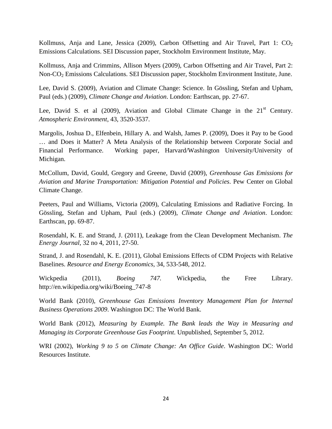Kollmuss, Anja and Lane, Jessica (2009), Carbon Offsetting and Air Travel, Part 1: CO<sub>2</sub> Emissions Calculations. SEI Discussion paper, Stockholm Environment Institute, May.

Kollmuss, Anja and Crimmins, Allison Myers (2009), Carbon Offsetting and Air Travel, Part 2: Non-CO2 Emissions Calculations. SEI Discussion paper, Stockholm Environment Institute, June.

Lee, David S. (2009), Aviation and Climate Change: Science. In Gössling, Stefan and Upham, Paul (eds.) (2009), *Climate Change and Aviation*. London: Earthscan, pp. 27-67.

Lee, David S. et al  $(2009)$ , Aviation and Global Climate Change in the  $21<sup>st</sup>$  Century. *Atmospheric Environment*, 43, 3520-3537.

Margolis, Joshua D., Elfenbein, Hillary A. and Walsh, James P. (2009), Does it Pay to be Good … and Does it Matter? A Meta Analysis of the Relationship between Corporate Social and Financial Performance. Working paper, Harvard/Washington University/University of Michigan.

McCollum, David, Gould, Gregory and Greene, David (2009), *Greenhouse Gas Emissions for Aviation and Marine Transportation: Mitigation Potential and Policies*. Pew Center on Global Climate Change.

Peeters, Paul and Williams, Victoria (2009), Calculating Emissions and Radiative Forcing. In Gössling, Stefan and Upham, Paul (eds.) (2009), *Climate Change and Aviation*. London: Earthscan, pp. 69-87.

Rosendahl, K. E. and Strand, J. (2011), Leakage from the Clean Development Mechanism. *The Energy Journal*, 32 no 4, 2011, 27-50.

Strand, J. and Rosendahl, K. E. (2011), Global Emissions Effects of CDM Projects with Relative Baselines. *Resource and Energy Economics*, 34, 533-548, 2012.

Wickpedia (2011), *Boeing 747.* Wickpedia, the Free Library. http://en.wikipedia.org/wiki/Boeing\_747-8

World Bank (2010), *Greenhouse Gas Emissions Inventory Management Plan for Internal Business Operations 2009*. Washington DC: The World Bank.

World Bank (2012), *Measuring by Example. The Bank leads the Way in Measuring and Managing its Corporate Greenhouse Gas Footprint*. Unpublished, September 5, 2012.

WRI (2002), *Working 9 to 5 on Climate Change: An Office Guide*. Washington DC: World Resources Institute.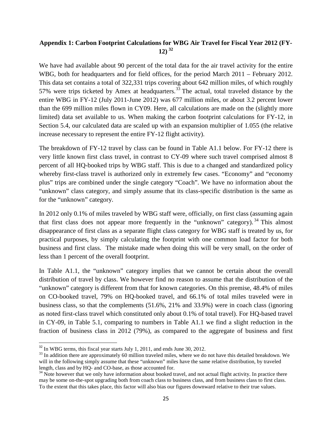## **Appendix 1: Carbon Footprint Calculations for WBG Air Travel for Fiscal Year 2012 (FY-12) [32](#page-26-0)**

We have had available about 90 percent of the total data for the air travel activity for the entire WBG, both for headquarters and for field offices, for the period March 2011 – February 2012. This data set contains a total of 322,331 trips covering about 642 million miles, of which roughly 57% were trips ticketed by Amex at headquarters.<sup>[33](#page-26-1)</sup> The actual, total traveled distance by the entire WBG in FY-12 (July 2011-June 2012) was 677 million miles, or about 3.2 percent lower than the 699 million miles flown in CY09. Here, all calculations are made on the (slightly more limited) data set available to us. When making the carbon footprint calculations for FY-12, in Section 5.4, our calculated data are scaled up with an expansion multiplier of 1.055 (the relative increase necessary to represent the entire FY-12 flight activity).

The breakdown of FY-12 travel by class can be found in Table A1.1 below. For FY-12 there is very little known first class travel, in contrast to CY-09 where such travel comprised almost 8 percent of all HQ-booked trips by WBG staff. This is due to a changed and standardized policy whereby first-class travel is authorized only in extremely few cases. "Economy" and "economy" plus" trips are combined under the single category "Coach". We have no information about the "unknown" class category, and simply assume that its class-specific distribution is the same as for the "unknown" category.

In 2012 only 0.1% of miles traveled by WBG staff were, officially, on first class (assuming again that first class does not appear more frequently in the "unknown" category).  $34$  This almost disappearance of first class as a separate flight class category for WBG staff is treated by us, for practical purposes, by simply calculating the footprint with one common load factor for both business and first class. The mistake made when doing this will be very small, on the order of less than 1 percent of the overall footprint.

In Table A1.1, the "unknown" category implies that we cannot be certain about the overall distribution of travel by class. We however find no reason to assume that the distribution of the "unknown" category is different from that for known categories. On this premise, 48.4% of miles on CO-booked travel, 79% on HQ-booked travel, and 66.1% of total miles traveled were in business class, so that the complements (51.6%, 21% and 33.9%) were in coach class (ignoring as noted first-class travel which constituted only about 0.1% of total travel). For HQ-based travel in CY-09, in Table 5.1, comparing to numbers in Table A1.1 we find a slight reduction in the fraction of business class in 2012 (79%), as compared to the aggregate of business and first

<span id="page-26-1"></span><span id="page-26-0"></span> $\frac{32}{33}$  In WBG terms, this fiscal year starts July 1, 2011, and ends June 30, 2012.<br> $\frac{33}{31}$  In addition there are approximately 60 million traveled miles, where we do not have this detailed breakdown. We will in the following simply assume that these "unknown" miles have the same relative distribution, by traveled length, class and by HQ- and CO-base, as those accounted for.<br><sup>34</sup> Note however that we only have information about booked travel, and not actual flight activity. In practice there

<span id="page-26-2"></span>may be some on-the-spot upgrading both from coach class to business class, and from business class to first class. To the extent that this takes place, this factor will also bias our figures downward relative to their true values.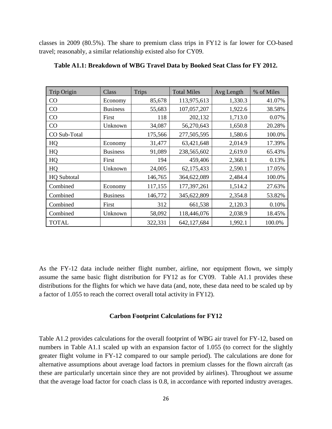classes in 2009 (80.5%). The share to premium class trips in FY12 is far lower for CO-based travel; reasonably, a similar relationship existed also for CY09.

| Trip Origin        | Class           | <b>Trips</b> | <b>Total Miles</b> | Avg Length | % of Miles |
|--------------------|-----------------|--------------|--------------------|------------|------------|
| CO                 | Economy         | 85,678       | 113,975,613        | 1,330.3    | 41.07%     |
| CO                 | <b>Business</b> | 55,683       | 107,057,207        | 1,922.6    | 38.58%     |
| CO                 | First           | 118          | 202,132            | 1,713.0    | 0.07%      |
| CO                 | Unknown         | 34,087       | 56,270,643         | 1,650.8    | 20.28%     |
| CO Sub-Total       |                 | 175,566      | 277,505,595        | 1,580.6    | 100.0%     |
| HQ                 | Economy         | 31,477       | 63,421,648         | 2,014.9    | 17.39%     |
| HQ                 | <b>Business</b> | 91,089       | 238,565,602        | 2,619.0    | 65.43%     |
| HQ                 | First           | 194          | 459,406            | 2,368.1    | 0.13%      |
| HQ                 | Unknown         | 24,005       | 62,175,433         | 2,590.1    | 17.05%     |
| <b>HQ</b> Subtotal |                 | 146,765      | 364,622,089        | 2,484.4    | 100.0%     |
| Combined           | Economy         | 117,155      | 177,397,261        | 1,514.2    | 27.63%     |
| Combined           | <b>Business</b> | 146,772      | 345,622,809        | 2,354.8    | 53.82%     |
| Combined           | First           | 312          | 661,538            | 2,120.3    | 0.10%      |
| Combined           | Unknown         | 58,092       | 118,446,076        | 2,038.9    | 18.45%     |
| <b>TOTAL</b>       |                 | 322,331      | 642,127,684        | 1,992.1    | 100.0%     |

As the FY-12 data include neither flight number, airline, nor equipment flown, we simply assume the same basic flight distribution for FY12 as for CY09. Table A1.1 provides these distributions for the flights for which we have data (and, note, these data need to be scaled up by a factor of 1.055 to reach the correct overall total activity in FY12).

#### **Carbon Footprint Calculations for FY12**

Table A1.2 provides calculations for the overall footprint of WBG air travel for FY-12, based on numbers in Table A1.1 scaled up with an expansion factor of 1.055 (to correct for the slightly greater flight volume in FY-12 compared to our sample period). The calculations are done for alternative assumptions about average load factors in premium classes for the flown aircraft (as these are particularly uncertain since they are not provided by airlines). Throughout we assume that the average load factor for coach class is 0.8, in accordance with reported industry averages.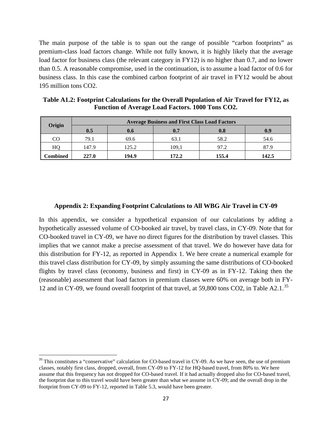The main purpose of the table is to span out the range of possible "carbon footprints" as premium-class load factors change. While not fully known, it is highly likely that the average load factor for business class (the relevant category in FY12) is no higher than 0.7, and no lower than 0.5. A reasonable compromise, used in the continuation, is to assume a load factor of 0.6 for business class. In this case the combined carbon footprint of air travel in FY12 would be about 195 million tons CO2.

| Origin   | <b>Average Business and First Class Load Factors</b> |       |       |       |       |  |
|----------|------------------------------------------------------|-------|-------|-------|-------|--|
|          | 0.5                                                  | 0.6   | 0.7   | 0.8   | 0.9   |  |
| CO       | 79.1                                                 | 69.6  | 63.1  | 58.2  | 54.6  |  |
| HQ       | 147.9                                                | 125.2 | 109.1 | 97.2  | 87.9  |  |
| Combined | 227.0                                                | 194.9 | 172.2 | 155.4 | 142.5 |  |

**Table A1.2: Footprint Calculations for the Overall Population of Air Travel for FY12, as Function of Average Load Factors. 1000 Tons CO2.** 

#### **Appendix 2: Expanding Footprint Calculations to All WBG Air Travel in CY-09**

In this appendix, we consider a hypothetical expansion of our calculations by adding a hypothetically assessed volume of CO-booked air travel, by travel class, in CY-09. Note that for CO-booked travel in CY-09, we have no direct figures for the distribution by travel classes. This implies that we cannot make a precise assessment of that travel. We do however have data for this distribution for FY-12, as reported in Appendix 1. We here create a numerical example for this travel class distribution for CY-09, by simply assuming the same distributions of CO-booked flights by travel class (economy, business and first) in CY-09 as in FY-12. Taking then the (reasonable) assessment that load factors in premium classes were 60% on average both in FY-12 and in CY-09, we found overall footprint of that travel, at 59,800 tons CO2, in Table A2.1.<sup>[35](#page-28-0)</sup>

<span id="page-28-0"></span> $35$  This constitutes a "conservative" calculation for CO-based travel in CY-09. As we have seen, the use of premium classes, notably first class, dropped, overall, from CY-09 to FY-12 for HQ-based travel, from 80% to. We here assume that this frequency has not dropped for CO-based travel. If it had actually dropped also for CO-based travel, the footprint due to this travel would have been greater than what we assume in CY-09; and the overall drop in the footprint from CY-09 to FY-12, reported in Table 5.3, would have been greater.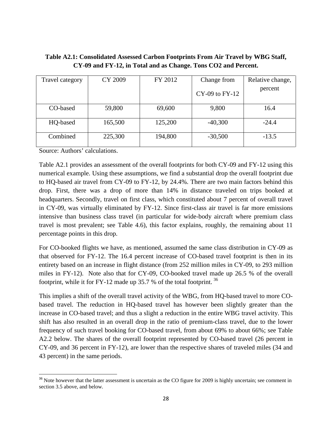| Table A2.1: Consolidated Assessed Carbon Footprints From Air Travel by WBG Staff, |
|-----------------------------------------------------------------------------------|
| CY-09 and FY-12, in Total and as Change. Tons CO2 and Percent.                    |

| Travel category | CY 2009 | FY 2012 | Change from<br>$CY-09$ to $FY-12$ | Relative change,<br>percent |
|-----------------|---------|---------|-----------------------------------|-----------------------------|
| CO-based        | 59,800  | 69,600  | 9,800                             | 16.4                        |
| HQ-based        | 165,500 | 125,200 | $-40,300$                         | $-24.4$                     |
| Combined        | 225,300 | 194,800 | $-30,500$                         | $-13.5$                     |

Source: Authors' calculations.

 $\overline{\phantom{a}}$ 

Table A2.1 provides an assessment of the overall footprints for both CY-09 and FY-12 using this numerical example. Using these assumptions, we find a substantial drop the overall footprint due to HQ-based air travel from CY-09 to FY-12, by 24.4%. There are two main factors behind this drop. First, there was a drop of more than 14% in distance traveled on trips booked at headquarters. Secondly, travel on first class, which constituted about 7 percent of overall travel in CY-09, was virtually eliminated by FY-12. Since first-class air travel is far more emissions intensive than business class travel (in particular for wide-body aircraft where premium class travel is most prevalent; see Table 4.6), this factor explains, roughly, the remaining about 11 percentage points in this drop.

For CO-booked flights we have, as mentioned, assumed the same class distribution in CY-09 as that observed for FY-12. The 16.4 percent increase of CO-based travel footprint is then in its entirety based on an increase in flight distance (from 252 million miles in CY-09, to 293 million miles in FY-12). Note also that for CY-09, CO-booked travel made up 26.5 % of the overall footprint, while it for FY-12 made up 35.7 % of the total footprint.  $36$ 

This implies a shift of the overall travel activity of the WBG, from HQ-based travel to more CObased travel. The reduction in HQ-based travel has however been slightly greater than the increase in CO-based travel; and thus a slight a reduction in the entire WBG travel activity. This shift has also resulted in an overall drop in the ratio of premium-class travel, due to the lower frequency of such travel booking for CO-based travel, from about 69% to about 66%; see Table A2.2 below. The shares of the overall footprint represented by CO-based travel (26 percent in CY-09, and 36 percent in FY-12), are lower than the respective shares of traveled miles (34 and 43 percent) in the same periods.

<span id="page-29-0"></span> $36$  Note however that the latter assessment is uncertain as the CO figure for 2009 is highly uncertain; see comment in section 3.5 above, and below.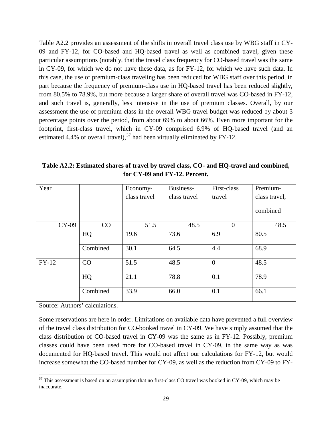Table A2.2 provides an assessment of the shifts in overall travel class use by WBG staff in CY-09 and FY-12, for CO-based and HQ-based travel as well as combined travel, given these particular assumptions (notably, that the travel class frequency for CO-based travel was the same in CY-09, for which we do not have these data, as for FY-12, for which we have such data. In this case, the use of premium-class traveling has been reduced for WBG staff over this period, in part because the frequency of premium-class use in HQ-based travel has been reduced slightly, from 80,5% to 78.9%, but more because a larger share of overall travel was CO-based in FY-12, and such travel is, generally, less intensive in the use of premium classes. Overall, by our assessment the use of premium class in the overall WBG travel budget was reduced by about 3 percentage points over the period, from about 69% to about 66%. Even more important for the footprint, first-class travel, which in CY-09 comprised 6.9% of HQ-based travel (and an estimated 4.4% of overall travel),  $37$  had been virtually eliminated by FY-12.

**Table A2.2: Estimated shares of travel by travel class, CO- and HQ-travel and combined, for CY-09 and FY-12. Percent.**

| Year    |          | Economy-     | Business-    | First-class    | Premium-      |
|---------|----------|--------------|--------------|----------------|---------------|
|         |          | class travel | class travel | travel         | class travel, |
|         |          |              |              |                | combined      |
| CY-09   | CO       | 51.5         | 48.5         | $\overline{0}$ | 48.5          |
|         | HQ       | 19.6         | 73.6         | 6.9            | 80.5          |
|         | Combined | 30.1         | 64.5         | 4.4            | 68.9          |
| $FY-12$ | CO       | 51.5         | 48.5         | $\overline{0}$ | 48.5          |
|         | HQ       | 21.1         | 78.8         | 0.1            | 78.9          |
|         | Combined | 33.9         | 66.0         | 0.1            | 66.1          |

Source: Authors' calculations.

 $\overline{\phantom{a}}$ 

Some reservations are here in order. Limitations on available data have prevented a full overview of the travel class distribution for CO-booked travel in CY-09. We have simply assumed that the class distribution of CO-based travel in CY-09 was the same as in FY-12. Possibly, premium classes could have been used more for CO-based travel in CY-09, in the same way as was documented for HQ-based travel. This would not affect our calculations for FY-12, but would increase somewhat the CO-based number for CY-09, as well as the reduction from CY-09 to FY-

<span id="page-30-0"></span> $37$  This assessment is based on an assumption that no first-class CO travel was booked in CY-09, which may be inaccurate.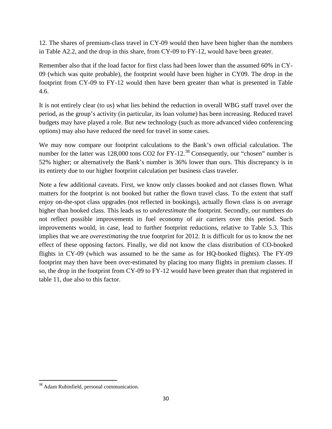12. The shares of premium-class travel in CY-09 would then have been higher than the numbers in Table A2.2, and the drop in this share, from CY-09 to FY-12, would have been greater.

Remember also that if the load factor for first class had been lower than the assumed 60% in CY-09 (which was quite probable), the footprint would have been higher in CY09. The drop in the footprint from CY-09 to FY-12 would then have been greater than what is presented in Table 4.6.

It is not entirely clear (to us) what lies behind the reduction in overall WBG staff travel over the period, as the group's activity (in particular, its loan volume) has been increasing. Reduced travel budgets may have played a role. But new technology (such as more advanced video conferencing options) may also have reduced the need for travel in some cases.

We may now compare our footprint calculations to the Bank's own official calculation. The number for the latter was 128,000 tons  $CO2$  for  $FY-12$ .<sup>[38](#page-31-0)</sup> Consequently, our "chosen" number is 52% higher; or alternatively the Bank's number is 36% lower than ours. This discrepancy is in its entirety due to our higher footprint calculation per business class traveler.

Note a few additional caveats. First, we know only classes booked and not classes flown. What matters for the footprint is not booked but rather the flown travel class. To the extent that staff enjoy on-the-spot class upgrades (not reflected in bookings), actually flown class is on average higher than booked class. This leads us to *underestimate* the footprint. Secondly, our numbers do not reflect possible improvements in fuel economy of air carriers over this period. Such improvements would, in case, lead to further footprint reductions, relative to Table 5.3. This implies that we are *overestimating* the true footprint for 2012. It is difficult for us to know the net effect of these opposing factors. Finally, we did not know the class distribution of CO-booked flights in CY-09 (which was assumed to be the same as for HQ-booked flights). The FY-09 footprint may then have been over-estimated by placing too many flights in premium classes. If so, the drop in the footprint from CY-09 to FY-12 would have been greater than that registered in table 11, due also to this factor.

l

<span id="page-31-0"></span><sup>&</sup>lt;sup>38</sup> Adam Rubinfield, personal communication.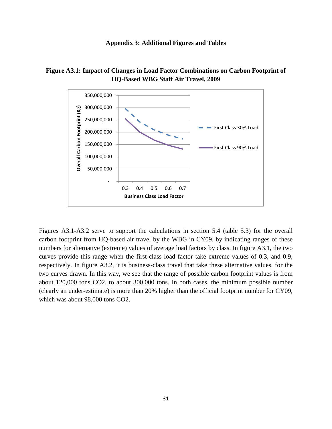





Figures A3.1-A3.2 serve to support the calculations in section 5.4 (table 5.3) for the overall carbon footprint from HQ-based air travel by the WBG in CY09, by indicating ranges of these numbers for alternative (extreme) values of average load factors by class. In figure A3.1, the two curves provide this range when the first-class load factor take extreme values of 0.3, and 0.9, respectively. In figure A3.2, it is business-class travel that take these alternative values, for the two curves drawn. In this way, we see that the range of possible carbon footprint values is from about 120,000 tons CO2, to about 300,000 tons. In both cases, the minimum possible number (clearly an under-estimate) is more than 20% higher than the official footprint number for CY09, which was about 98,000 tons CO2.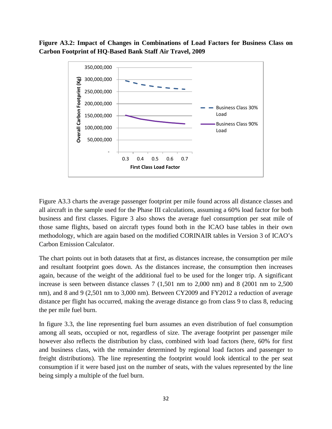**Figure A3.2: Impact of Changes in Combinations of Load Factors for Business Class on Carbon Footprint of HQ-Based Bank Staff Air Travel, 2009** 



Figure A3.3 charts the average passenger footprint per mile found across all distance classes and all aircraft in the sample used for the Phase III calculations, assuming a 60% load factor for both business and first classes. Figure 3 also shows the average fuel consumption per seat mile of those same flights, based on aircraft types found both in the ICAO base tables in their own methodology, which are again based on the modified CORINAIR tables in Version 3 of ICAO's Carbon Emission Calculator.

The chart points out in both datasets that at first, as distances increase, the consumption per mile and resultant footprint goes down. As the distances increase, the consumption then increases again, because of the weight of the additional fuel to be used for the longer trip. A significant increase is seen between distance classes 7 (1,501 nm to 2,000 nm) and 8 (2001 nm to 2,500 nm), and 8 and 9 (2,501 nm to 3,000 nm). Between CY2009 and FY2012 a reduction of average distance per flight has occurred, making the average distance go from class 9 to class 8, reducing the per mile fuel burn.

In figure 3.3, the line representing fuel burn assumes an even distribution of fuel consumption among all seats, occupied or not, regardless of size. The average footprint per passenger mile however also reflects the distribution by class, combined with load factors (here, 60% for first and business class, with the remainder determined by regional load factors and passenger to freight distributions). The line representing the footprint would look identical to the per seat consumption if it were based just on the number of seats, with the values represented by the line being simply a multiple of the fuel burn.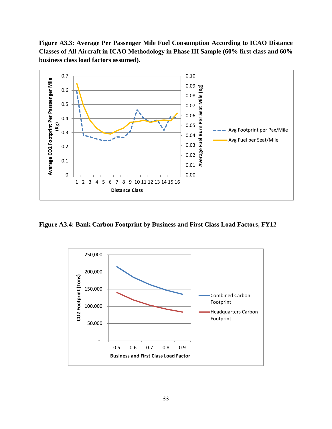**Figure A3.3: Average Per Passenger Mile Fuel Consumption According to ICAO Distance Classes of All Aircraft in ICAO Methodology in Phase III Sample (60% first class and 60% business class load factors assumed).**



**Figure A3.4: Bank Carbon Footprint by Business and First Class Load Factors, FY12**

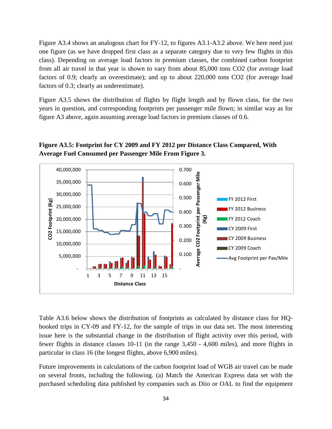Figure A3.4 shows an analogous chart for FY-12, to figures A3.1-A3.2 above. We here need just one figure (as we have dropped first class as a separate category due to very few flights in this class). Depending on average load factors in premium classes, the combined carbon footprint from all air travel in that year is shown to vary from about 85,000 tons CO2 (for average load factors of 0.9; clearly an overestimate); and up to about 220,000 tons CO2 (for average load factors of 0.3; clearly an underestimate).

Figure A3.5 shows the distribution of flights by flight length and by flown class, for the two years in question, and corresponding footprints per passenger mile flown; in similar way as for figure A3 above, again assuming average load factors in premium classes of 0.6.



**Figure A3.5: Footprint for CY 2009 and FY 2012 per Distance Class Compared, With Average Fuel Consumed per Passenger Mile From Figure 3.**

Table A3.6 below shows the distribution of footprints as calculated by distance class for HQbooked trips in CY-09 and FY-12, for the sample of trips in our data set. The most interesting issue here is the substantial change in the distribution of flight activity over this period, with fewer flights in distance classes 10-11 (in the range 3,450 - 4,600 miles), and more flights in particular in class 16 (the longest flights, above 6,900 miles).

Future improvements in calculations of the carbon footprint load of WGB air travel can be made on several fronts, including the following. (a) Match the American Express data set with the purchased scheduling data published by companies such as Diio or OAL to find the equipment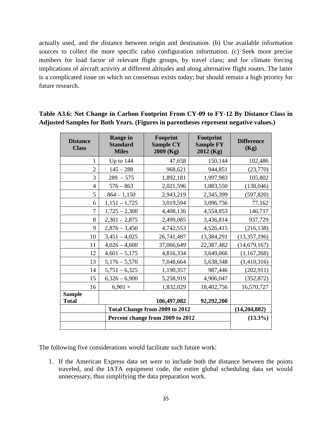actually used, and the distance between origin and destination. (b) Use available information sources to collect the more specific cabin configuration information. (c) Seek more precise numbers for load factor of relevant flight groups, by travel class; and for climate forcing implications of aircraft activity at different altitudes and along alternative flight routes. The latter is a complicated issue on which no consensus exists today; but should remain a high priority for future research.

| <b>Distance</b><br><b>Class</b> | <b>Range in</b><br><b>Standard</b><br><b>Miles</b> | Fooprint<br><b>Sample CY</b><br>2009 (Kg) | Footprint<br><b>Sample FY</b><br>$2012$ (Kg) | <b>Difference</b><br>(Kg) |
|---------------------------------|----------------------------------------------------|-------------------------------------------|----------------------------------------------|---------------------------|
| 1                               | Up to $144$                                        | 47,658                                    | 150,144                                      | 102,486                   |
| $\overline{2}$                  | $145 - 288$                                        | 968,621                                   | 944,851                                      | (23,770)                  |
| 3                               | $289 - 575$                                        | 1,892,181                                 | 1,997,983                                    | 105,802                   |
| 4                               | $576 - 863$                                        | 2,021,596                                 | 1,883,550                                    | (138, 046)                |
| 5                               | $864 - 1,150$                                      | 2,943,219                                 | 2,345,399                                    | (597, 820)                |
| 6                               | $1,151 - 1,725$                                    | 3,019,594                                 | 3,096,756                                    | 77,162                    |
| 7                               | $1,725 - 2,300$                                    | 4,408,136                                 | 4,554,853                                    | 146,717                   |
| 8                               | $2,301 - 2,875$                                    | 2,499,085                                 | 3,436,814                                    | 937,729                   |
| 9                               | $2,876 - 3,450$                                    | 4,742,553                                 | 4,526,415                                    | (216, 138)                |
| 10                              | $3,451 - 4,025$                                    | 26,741,487                                | 13,384,291                                   | (13,357,196)              |
| 11                              | $4,026 - 4,600$                                    | 37,066,649                                | 22,387,482                                   | (14, 679, 167)            |
| 12                              | $4,601 - 5,175$                                    | 4,816,334                                 | 3,649,066                                    | (1,167,268)               |
| 13                              | $5,176 - 5,570$                                    | 7,048,664                                 | 5,638,348                                    | (1,410,316)               |
| 14                              | $5,751 - 6,325$                                    | 1,190,357                                 | 987,446                                      | (202, 911)                |
| 15                              | $6,326 - 6,900$                                    | 5,258,919                                 | 4,906,047                                    | (352, 872)                |
| 16                              | $6,901 +$                                          | 1,832,029                                 | 18,402,756                                   | 16,570,727                |
| <b>Sample</b><br><b>Total</b>   |                                                    | 106,497,082                               | 92,292,200                                   |                           |
|                                 | (14,204,882)                                       |                                           |                                              |                           |
|                                 | $(13.3\%)$                                         |                                           |                                              |                           |

## **Table A3.6: Net Change in Carbon Footprint From CY-09 to FY-12 By Distance Class in Adjusted Samples for Both Years. (Figures in parentheses represent negative values.)**

The following five considerations would facilitate such future work:

1. If the American Express data set were to include both the distance between the points traveled, and the IATA equipment code, the entire global scheduling data set would unnecessary, thus simplifying the data preparation work.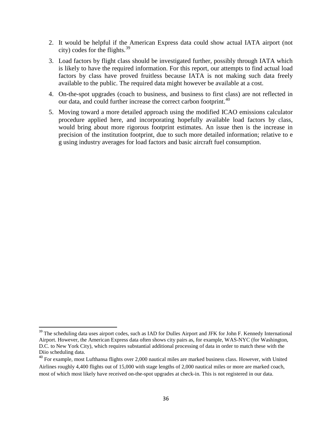- 2. It would be helpful if the American Express data could show actual IATA airport (not city) codes for the flights. $39$
- 3. Load factors by flight class should be investigated further, possibly through IATA which is likely to have the required information. For this report, our attempts to find actual load factors by class have proved fruitless because IATA is not making such data freely available to the public. The required data might however be available at a cost.
- 4. On-the-spot upgrades (coach to business, and business to first class) are not reflected in our data, and could further increase the correct carbon footprint.<sup>[40](#page-37-1)</sup>
- 5. Moving toward a more detailed approach using the modified ICAO emissions calculator procedure applied here, and incorporating hopefully available load factors by class, would bring about more rigorous footprint estimates. An issue then is the increase in precision of the institution footprint, due to such more detailed information; relative to e g using industry averages for load factors and basic aircraft fuel consumption.

l

<span id="page-37-0"></span><sup>&</sup>lt;sup>39</sup> The scheduling data uses airport codes, such as IAD for Dulles Airport and JFK for John F. Kennedy International Airport. However, the American Express data often shows city pairs as, for example, WAS-NYC (for Washington, D.C. to New York City), which requires substantial additional processing of data in order to match these with the Diio scheduling data.

<span id="page-37-1"></span><sup>&</sup>lt;sup>40</sup> For example, most Lufthansa flights over 2,000 nautical miles are marked business class. However, with United Airlines roughly 4,400 flights out of 15,000 with stage lengths of 2,000 nautical miles or more are marked coach, most of which most likely have received on-the-spot upgrades at check-in. This is not registered in our data.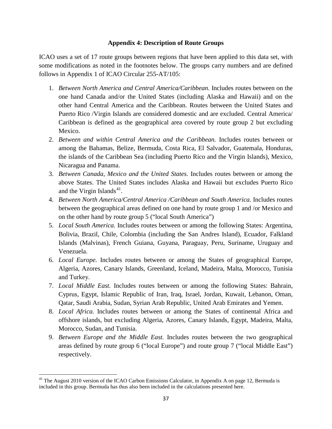#### **Appendix 4: Description of Route Groups**

ICAO uses a set of 17 route groups between regions that have been applied to this data set, with some modifications as noted in the footnotes below. The groups carry numbers and are defined follows in Appendix 1 of ICAO Circular 255-AT/105:

- 1. *Between North America and Central America/Caribbean.* Includes routes between on the one hand Canada and/or the United States (including Alaska and Hawaii) and on the other hand Central America and the Caribbean. Routes between the United States and Puerto Rico /Virgin Islands are considered domestic and are excluded. Central America/ Caribbean is defined as the geographical area covered by route group 2 but excluding Mexico.
- 2. *Between and within Central America and the Caribbean.* Includes routes between or among the Bahamas, Belize, Bermuda, Costa Rica, El Salvador, Guatemala, Honduras, the islands of the Caribbean Sea (including Puerto Rico and the Virgin Islands), Mexico, Nicaragua and Panama.
- 3. *Between Canada, Mexico and the United States.* Includes routes between or among the above States. The United States includes Alaska and Hawaii but excludes Puerto Rico and the Virgin Islands<sup>41</sup>.
- 4. *Between North America/Central America /Caribbean and South America.* Includes routes between the geographical areas defined on one hand by route group 1 and /or Mexico and on the other hand by route group 5 ("local South America")
- 5. *Local South America.* Includes routes between or among the following States: Argentina, Bolivia, Brazil, Chile, Colombia (including the San Andres Island), Ecuador, Falkland Islands (Malvinas), French Guiana, Guyana, Paraguay, Peru, Suriname, Uruguay and Venezuela.
- 6. *Local Europe.* Includes routes between or among the States of geographical Europe, Algeria, Azores, Canary Islands, Greenland, Iceland, Madeira, Malta, Morocco, Tunisia and Turkey.
- 7. *Local Middle East.* Includes routes between or among the following States: Bahrain, Cyprus, Egypt, Islamic Republic of Iran, Iraq, Israel, Jordan, Kuwait, Lebanon, Oman, Qatar, Saudi Arabia, Sudan, Syrian Arab Republic, United Arab Emirates and Yemen.
- 8. *Local Africa.* Includes routes between or among the States of continental Africa and offshore islands, but excluding Algeria, Azores, Canary Islands, Egypt, Madeira, Malta, Morocco, Sudan, and Tunisia.
- 9. *Between Europe and the Middle East.* Includes routes between the two geographical areas defined by route group 6 ("local Europe") and route group 7 ("local Middle East") respectively.

l

<span id="page-38-0"></span><sup>&</sup>lt;sup>41</sup> The August 2010 version of the ICAO Carbon Emissions Calculator, in Appendix A on page 12, Bermuda is included in this group. Bermuda has thus also been included in the calculations presented here.